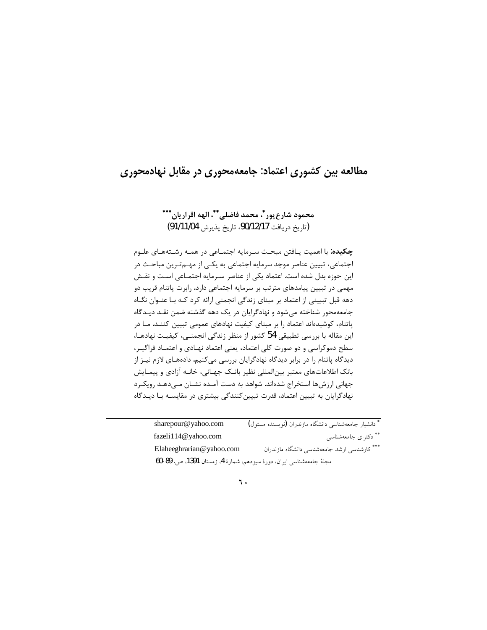# مطالعه بین کشوری اعتماد: جامعهمحوری در مقابل نهادمحوری

## محمود شارع پور\*، محمد فاضلي\*\*، الهه اقراريان\*\*\* (تاريخ دريافت 90/12/17). تاريخ پذيرش 91/11/04)

چکیده: با اهمیت یـافتن مبحـث سـرمایه اجتمـاعی در همـه رشـتههـای علـوم اجتماعی، تبیین عناصر موجد سرمایه اجتماعی به یکـی از مهـمتـرین مباحـث در این حوزه بدل شده است. اعتماد یکی از عناصر سـرمایه اجتمـاعی اسـت و نقـش مهمی در تبیین پیامدهای مترتب بر سرمایه اجتماعی دارد. رابرت پاتنام قریب دو دهه قبل تبیینی از اعتماد بر مبنای زندگی انجمنی ارائه کرد کـه بـا عنـوان نگـاه جامعهمحور شناخته می شود و نهادگرایان در یک دهه گذشته ضمن نقـد دیـدگاه پاتنام، کوشیدهاند اعتماد را بر مبنای کیفیت نهادهای عمومی تبیین کننـد. مـا در این مقاله با بررسی تطبیقی 54 کشور از منظر زندگی انجمنـی، کیفیـت نهادهـا، سطح دموکراسی و دو صورت کلی اعتماد، یعنی اعتماد نهـادی و اعتمـاد فراگیـر، دیدگاه پاتنام را در برابر دیدگاه نهادگرایان بررسی میکنیم. دادههـای لازم نیـز از بانک اطلاعاتهای معتبر بینالمللی نظیر بانـک جهـانی، خانـه آزادی و پیمـایش جهانی ارزشها استخراج شدهاند. شواهد به دست آمـده نشـان مـی۵هـد رویکـرد نهادگرایان به تبیین اعتماد، قدرت تبیین کنندگی بیشتری در مقایسـه بـا دیـدگاه

| sharepour@yahoo.com                                                  | * دانشیار جامعهشناسی دانشگاه مازندران (نویسنده مسئول) |
|----------------------------------------------------------------------|-------------------------------------------------------|
| fazeli $114@$ vahoo.com                                              | ** دکترای جامعهشناس <sub>ی</sub>                      |
| Elaheeghrarian@yahoo.com                                             | *** کارشناسی ارشد جامعهشناسی دانشگاه مازندران         |
| مجلة جامعهشناسي ايران، دورهٔ سيزدهم، شمارهٔ 4، زمستان 1391، ص. 89-60 |                                                       |

#### ٦.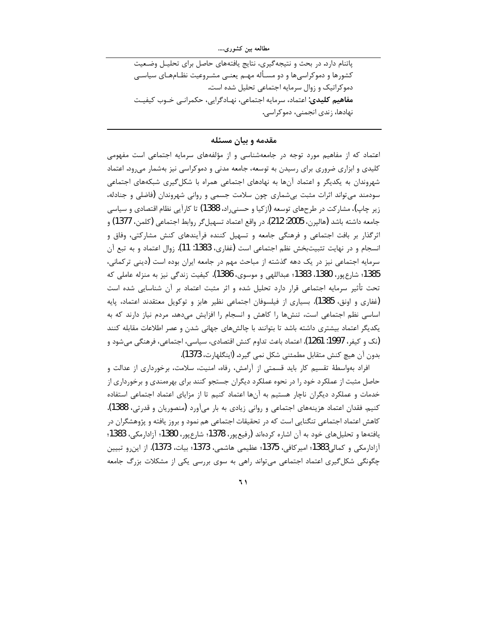پاتنام دارد. در بحث و نتیجه گیری، نتایج یافتههای حاصل برای تحلیـل وضـعیت کشورها و دموکراسیها و دو مسـأله مهـم یعنـی مشـروعیت نظـامهـای سیاسـی دموکراتیک و زوال سرمایه اجتماعی تحلیل شده است. **مفاهیم کلیدی**: اعتماد، سرمایه اجتماعی، نهـادگرایی، حکمرانـی خـوب کیفیـت نهادها، زندی انجمنی، دموکراسی.

مقدمه و بیان مسئله

اعتماد که از مفاهیم مورد توجه در جامعهشناسی و از مؤلفههای سرمایه اجتماعی است مفهومی کلیدی و ابزاری ضروری برای رسیدن به توسعه، جامعه مدنی و دموکراسی نیز بهشمار می رود. اعتماد شهروندان به یکدیگر و اعتماد آنها به نهادهای اجتماعی همراه با شکل گیری شبکههای اجتماعی سودمند می تواند اثرات مثبت بیشماری چون سلامت جسمی و روانی شهروندان (فاضلی و جنادله، زیر چاپ)، مشارکت در طرحهای توسعه (ازکیا و حسنی٫اد، 1388) تا کار آیی نظام اقتصادی و سیاسی جامعه داشته باشد (هالپرن، 2005: 212). در واقع اعتماد تسهيل۶گر روابط اجتماعي (كلمن، 1377) و اثرگذار بر بافت اجتماعی و فرهنگی جامعه و تسهیل کننده فرآیندهای کنش مشارکتی، وفاق و انسجام و در نهایت تثبیتبخش نظم اجتماعی است (غفاری، 1383: 11). زوال اعتماد و به تبع آن سرمایه اجتماعی نیز در یک دهه گذشته از مباحث مهم در جامعه ایران بوده است (دینی ترکمانی، 1385؛ شارعپور، 1380، 1383؛ عبداللهي و موسوى، 1386). كيفيت زندگي نيز به منزله عاملي كه تحت تأثیر سرمایه اجتماعی قرار دارد تحلیل شده و اثر مثبت اعتماد بر آن شناسایی شده است (غفاری و اونق، 1385). بسیاری از فیلسوفان اجتماعی نظیر هابز و توکویل معتقدند اعتماد، پایه اساسی نظم اجتماعی است، تنشها را کاهش و انسجام را افزایش میدهد. مردم نیاز دارند که به یکدیگر اعتماد بیشتری داشته باشد تا بتوانند با چالشهای جهانی شدن و عصر اطلاعات مقابله کنند (نک و کیفر، 1997: 1261). اعتماد باعث تداوم کنش اقتصادی، سیاسی، اجتماعی، فرهنگی می شود و بدون آن هيچ كنش متقابل مطمئني شكل نمي گيرد. (اينگلهارت، 1373).

افراد بهواسطهٔ تقسیم کار باید قسمتی از آرامش، رفاه، امنیت، سلامت، برخورداری از عدالت و حاصل مثبت از عملکرد خود را در نحوه عملکرد دیگران جستجو کنند برای بهرهمندی و برخورداری از خدمات و عملکرد دیگران ناچار هستیم به آنها اعتماد کنیم تا از مزایای اعتماد اجتماعی استفاده کنیم. فقدان اعتماد هزینههای اجتماعی و روانی زیادی به بار میآورد (منصوریان و قدرتی، 1388). کاهش اعتماد اجتماعی تنگنایی است که در تحقیقات اجتماعی هم نمود و بروز یافته و پژوهشگران در يافتهها و تحليلهاي خود به آن اشاره كردهاند (رفيع.پور، 1378؛ شارع.پور، 1380؛ آزادارمكي، 1383؛ آزادارمکی و کمالی1383؛ امیرکافی، 1375؛ عظیمی هاشمی، 1373؛ بیات، 1373). از این,و تبیین چگونگی شکل گیری اعتماد اجتماعی می¤واند راهی به سوی بررسی یکی از مشکلات بزرگ جامعه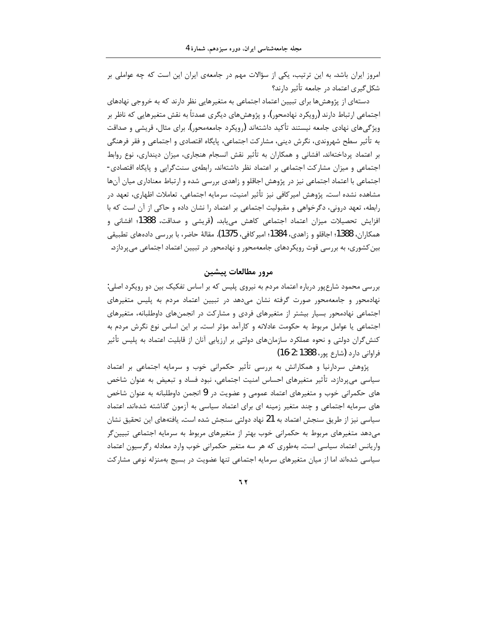امروز ایران باشد. به این ترتیب، یکی از سؤالات مهم در جامعهی ایران این است که چه عواملی بر شکل گیری اعتماد در جامعه تأثیر دارند؟

دستهای از پژوهشها برای تبیین اعتماد اجتماعی به متغیرهایی نظر دارند که به خروجی نهادهای اجتماعي ارتباط دارند (رويكرد نهادمحور)، و پژوهشهاي ديگري عمدتاً به نقش متغيرهايي كه ناظر بر ویژگی های نهادی جامعه نیستند تأکید داشتهاند (رویکرد جامعهمحور). برای مثال، قریشی و صداقت به تأثیر سطح شهروندی، نگرش دینی، مشارکت اجتماعی، پایگاه اقتصادی و اجتماعی و فقر فرهنگی بر اعتماد پرداختهاند. افشانی و همکاران به تأثیر نقش انسجام هنجاری، میزان دینداری، نوع روابط اجتماعی و میزان مشارکت اجتماعی بر اعتماد نظر داشتهاند. رابطهی سنتگرایی و پایگاه اقتصادی-اجتماعی با اعتماد اجتماعی نیز در پژوهش اجاقلو و زاهدی بررسی شده و ارتباط معناداری میان آنها مشاهده نشده است. پژوهش امیرکافی نیز تأثیر امنیت، سرمایه اجتماعی، تعاملات اظهاری، تعهد در رابطه، تعهد درونی، دگرخواهی و مقبولیت اجتماعی بر اعتماد را نشان داده و حاکی از آن است که با افزایش تحصیلات میزان اعتماد اجتماعی کاهش مییابد. (قریشی و صداقت، 1388؛ افشانی و همكاران، 1388؛ اجاقلو و زاهدي، 1384؛ امير كافي، 1375). مقالهٔ حاضر، با بررسي دادههاي تطبيقي بین کشوری، به بررسی قوت رویکردهای جامعهمحور و نهادمحور در تبیین اعتماد اجتماعی میپردازد.

### مرور مطالعات پیشین

بررسی محمود شارعپور درباره اعتماد مردم به نیروی پلیس که بر اساس تفکیک بین دو رویکرد اصلی: نهادمحور و جامعهمحور صورت گرفته نشان میدهد در تبیین اعتماد مردم به پلیس متغیرهای اجتماعی نهادمحور بسیار بیشتر از متغیرهای فردی و مشارکت در انجمنهای داوطلبانه، متغیرهای اجتماعی یا عوامل مربوط به حکومت عادلانه و کارآمد مؤثر است. بر این اساس نوع نگرش مردم به کنشگران دولتی و نحوه عملکرد سازمانهای دولتی بر ارزیابی آنان از قابلیت اعتماد به پلیس تأثیر فراوانی دارد (شارع پور، 1388 :2-16)

پژوهش سردارنیا و همکارانش به بررسی تأثیر حکمرانی خوب و سرمایه اجتماعی بر اعتماد سیاسی می پردازد. تأثیر متغیرهای احساس امنیت اجتماعی، نبود فساد و تبعیض به عنوان شاخص های حکمرانی خوب و متغیرهای اعتماد عمومی و عضویت در 9 انجمن داوطلبانه به عنوان شاخص های سرمایه اجتماعی و چند متغیر زمینه ای برای اعتماد سیاسی به آزمون گذاشته شدهاند. اعتماد سیاسی نیز از طریق سنجش اعتماد به 21 نهاد دولتی سنجش شده است. یافتههای این تحقیق نشان میدهد متغیرهای مربوط به حکمرانی خوب بهتر از متغیرهای مربوط به سرمایه اجتماعی تبیین گر واریانس اعتماد سیاسی است. بهطوری که هر سه متغیر حکمرانی خوب وارد معادله رگرسیون اعتماد سیاسی شدهاند اما از میان متغیرهای سرمایه اجتماعی تنها عضویت در بسیج بهمنزله نوعی مشارکت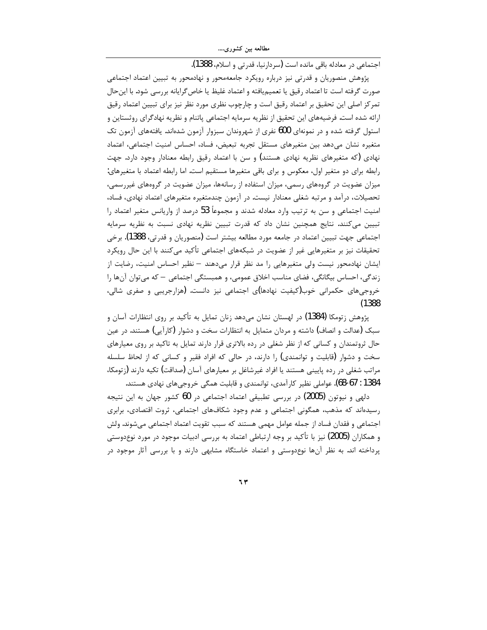مطالعه بین کشوری….

اجتماعي در معادله باقي مانده است (سردارنيا، قدرتي و اسلام، 1388).

پژوهش منصوریان و قدرتی نیز درباره رویکرد جامعهمحور و نهادمحور به تبیین اعتماد اجتماعی صورت گرفته است تا اعتماد رقيق يا تعميمِيافته و اعتماد غليظ يا خاص گرايانه بررسي شود. با اينحال تمرکز اصلی این تحقیق بر اعتماد رقیق است و چارچوب نظری مورد نظر نیز برای تبیین اعتماد رقیق ارائه شده است. فرضیههای این تحقیق از نظریه سرمایه اجتماعی پاتنام و نظریه نهادگرای روثستاین و استول گرفته شده و در نمونهای 600 نفری از شهروندان سبزوار آزمون شدهاند. یافتههای آزمون تک متغيره نشان مى دهد بين متغيرهاى مستقل تجربه تبعيض، فساد، احساس امنيت اجتماعى، اعتماد نهادی (که متغیرهای نظریه نهادی هستند) و سن با اعتماد رقیق رابطه معنادار وجود دارد. جهت رابطه برای دو متغیر اول، معکوس و برای باقی متغیرها مستقیم است. اما رابطه اعتماد با متغیرهای: میزان عضویت در گروههای رسمی، میزان استفاده از رسانهها، میزان عضویت در گروههای غیررسمی، تحصیلات، درآمد و مرتبه شغلی معنادار نیست. در آزمون چندمتغیره متغیرهای اعتماد نهادی، فساد، امنیت اجتماعی و سن به ترتیب وارد معادله شدند و مجموعاً 53 درصد از واریانس متغیر اعتماد را تبیین میکنند. نتایج همچنین نشان داد که قدرت تبیین نظریه نهادی نسبت به نظریه سرمایه اجتماعي جهت تبيين اعتماد در جامعه مورد مطالعه بيشتر است (منصوريان و قدرتي، 1388). برخي تحقیقات نیز بر متغیرهایی غیر از عضویت در شبکههای اجتماعی تأکید میکنند با این حال رویکرد ایشان نهادمحور نیست ولی متغیرهایی را مد نظر قرار میدهند – نظیر احساس امنیت، رضایت از زندگی، احساس بیگانگی، فضای مناسب اخلاق عمومی، و همبستگی اجتماعی – که می توان آنها را خروجیهای حکمرانی خوب(کیفیت نهادها)ی اجتماعی نیز دانست. (هزارجریبی و صفری شالی،  $(1388)$ 

یژوهش زتومکا (1384) در لهستان نشان می۵هد زنان تمایل به تأکید بر روی انتظارات آسان و سبک (عدالت و انصاف) داشته و مردان متمایل به انتظارات سخت و دشوار (کارآیی) هستند. در عین حال ثروتمندان و کسانی که از نظر شغلی در رده بالاتری قرار دارند تمایل به تاکید بر روی معیارهای سخت و دشوار (قابلیت و توانمندی) را دارند، در حالی که افراد فقیر و کسانی که از لحاظ سلسله مراتب شغلی در رده پایینی هستند یا افراد غیرشاغل بر معیارهای آسان (صداقت) تکیه دارند (زتومکا، 1384 : 67-68). عواملي نظير كارآمدي، توانمندي و قابليت همگي خروجيهاي نهادي هستند.

دلهی و نیوتون (2005) در بررسی تطبیقی اعتماد اجتماعی در 60 کشور جهان به این نتیجه رسیدهاند که مذهب، همگونی اجتماعی و عدم وجود شکافهای اجتماعی، ثروت اقتصادی، برابری اجتماعي و فقدان فساد از جمله عوامل مهمي هستند كه سبب تقويت اعتماد اجتماعي ميشوند. ولش و همکاران (2005) نیز با تأکید بر وجه ارتباطی اعتماد به بررسی ادبیات موجود در مورد نوعدوستی پرداخته اند. به نظر آنها نوعدوستی و اعتماد خاستگاه مشابهی دارند و با بررسی آثار موجود در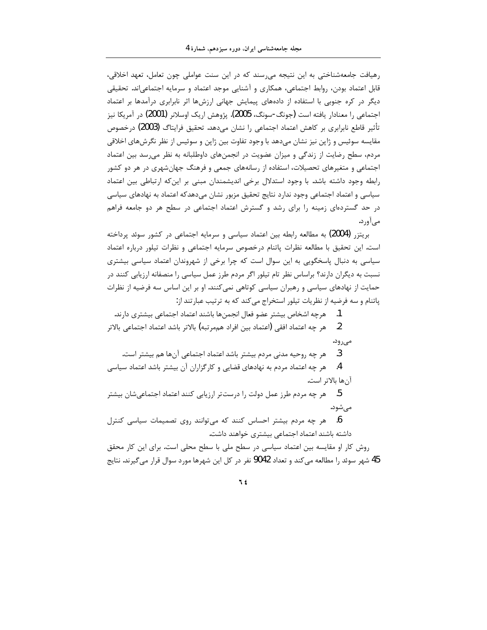رهیافت جامعهشناختی به این نتیجه می رسند که در این سنت عواملی چون تعامل، تعهد اخلاقی، قابل اعتماد بودن، روابط اجتماعي، همكاري و آشنايي موجد اعتماد و سرمايه اجتماعي|ند. تحقيقي دیگر در کره جنوبی با استفاده از دادههای پیمایش جهانی ارزشها اثر نابرابری درآمدها بر اعتماد اجتماعی ٫۱ معنادار یافته است (جونگ-سونگ، 2005). پژوهش اریک اوسلانر (2001) در آمریکا نیز تأثیر قاطع نابرابری بر کاهش اعتماد اجتماعی را نشان میدهد. تحقیق فرایتاگ (2003) درخصوص مقایسه سوئیس و ژاپن نیز نشان میدهد با وجود تفاوت بین ژاپن و سوئیس از نظر نگرشهای اخلاقی مردم، سطح رضایت از زندگی و میزان عضویت در انجمنهای داوطلبانه به نظر می رسد بین اعتماد اجتماعی و متغیرهای تحصیلات، استفاده از رسانههای جمعی و فرهنگ جهانشهری در هر دو کشور رابطه وجود داشته باشد. با وجود استدلال برخی اندیشمندان مبنی بر این که ارتباطی بین اعتماد سیاسی و اعتماد اجتماعی وجود ندارد نتایج تحقیق مزبور نشان میدهدکه اعتماد به نهادهای سیاسی در حد گستردهای زمینه را برای رشد و گسترش اعتماد اجتماعی در سطح هر دو جامعه فراهم مے آورد.

بریتزر (2004) به مطالعه رابطه بین اعتماد سیاسی و سرمایه اجتماعی در کشور سوئد پرداخته است. این تحقیق با مطالعه نظرات پاتنام درخصوص سرمایه اجتماعی و نظرات تیلور درباره اعتماد سیاسی به دنبال پاسخگویی به این سوال است که چرا برخی از شهروندان اعتماد سیاسی بیشتری نسبت به دیگران دارند؟ براساس نظر تام تیلور اگر مردم طرز عمل سیاسی را منصفانه ارزیابی کنند در حمایت از نهادهای سیاسی و رهبران سیاسی کوتاهی نمی کنند. او بر این اساس سه فرضیه از نظرات پاتنام و سه فرضیه از نظریات تیلور استخراج می کند که به ترتیب عبارتند از:

1. هرچه اشخاص بيشتر عضو فعال انجمنها باشند اعتماد اجتماعي بيشتري دارند.

ِ هر چه اعتماد افقی (اعتماد بین افراد همِمرتبه) بالاتر باشد اعتماد اجتماعی بالاتر  $\overline{\phantom{0}}$ مىرود.

هر چه روحیه مدنی مردم بیشتر باشد اعتماد اجتماعی آنها هم بیشتر است. .3

هر چه اعتماد مردم به نهادهای قضایی و کارگزاران آن بیشتر باشد اعتماد سیاسی  $\cdot$ .4 آنها بالاتر است. 5. هر چه مردم طرز عمل دولت را درست¤ر ارزیابی کنند اعتماد اجتماعیشان بیشتر مے شود.

6. هر چه مردم بیشتر احساس کنند که می توانند روی تصمیمات سیاسی کنترل داشته باشند اعتماد اجتماعی بیشتری خواهند داشت.

روش کار او مقایسه بین اعتماد سیاسی در سطح ملی با سطح محلی است. برای این کار محقق 45 شهر سوئد را مطالعه می کند و تعداد 9042 نفر در کل این شهرها مورد سوال قرار می گیرند. نتایج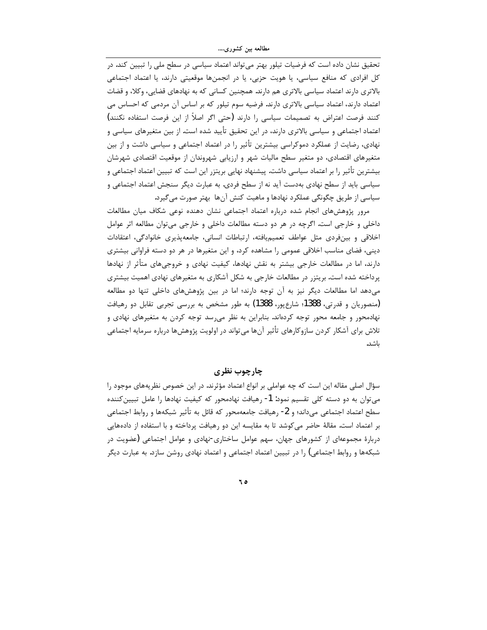تحقیق نشان داده است که فرضیات تیلور بهتر می تواند اعتماد سیاسی در سطح ملی را تبیین کند. در کل افرادی که منافع سیاسی، یا هویت حزبی، یا در انجمنها موقعیتی دارند، یا اعتماد اجتماعی بالاتری دارند اعتماد سیاسی بالاتری هم دارند. همچنین کسانی که به نهادهای قضایی، وکلا، و قضات اعتماد دارند، اعتماد سیاسی بالاتری دارند. فرضیه سوم تیلور که بر اساس آن مردمی که احساس می كنند فرصت اعتراض به تصميمات سياسي را دارند (حتى اگر اصلاً از اين فرصت استفاده نكنند) اعتماد اجتماعی و سیاسی بالاتری دارند، در این تحقیق تأیید شده است. از بین متغیرهای سیاسی و نهادی، رضایت از عملکرد دموکراسی بیشترین تأثیر را در اعتماد اجتماعی و سیاسی داشت و از بین متغیرهای اقتصادی، دو متغیر سطح مالیات شهر و ارزیابی شهروندان از موقعیت اقتصادی شهرشان بیشترین تأثیر را بر اعتماد سیاسی داشت. پیشنهاد نهایی بریتزر این است که تبیین اعتماد اجتماعی و سیاسی باید از سطح نهادی بهدست آید نه از سطح فردی. به عبارت دیگر سنجش اعتماد اجتماعی و سیاسی از طریق چگونگی عملکرد نهادها و ماهیت کنش آنها بهتر صورت میگیرد.

مرور پژوهشهای انجام شده درباره اعتماد اجتماعی نشان دهنده نوعی شکاف میان مطالعات داخلي و خارجي است. اگرچه در هر دو دسته مطالعات داخلي و خارجي مي توان مطالعه اثر عوامل اخلاقی و بینفردی مثل عواطف تعمیمیافته، ارتباطات انسانی، جامعهپذیری خانوادگی، اعتقادات دینی، فضای مناسب اخلاقی عمومی را مشاهده کرد، و این متغیرها در هر دو دسته فراوانی بیشتری دارند، اما در مطالعات خارجی بیشتر به نقش نهادها، کیفیت نهادی و خروجیهای متأثر از نهادها پرداخته شده است. بریتزر در مطالعات خارجی به شکل آشکاری به متغیرهای نهادی اهمیت بیشتری می دهد اما مطالعات دیگر نیز به آن توجه دارند؛ اما در بین پژوهشهای داخلی تنها دو مطالعه (منصوريان و قدرتي، 1388؛ شارع يور، 1388) به طور مشخص به بررسي تجربي تقابل دو رهيافت نهادمحور و جامعه محور توجه کردهاند. بنابراین به نظر می سد توجه کردن به متغیرهای نهادی و تلاش برای آشکار کردن سازوکارهای تأثیر آنها می¤واند در اولویت پژوهشها درباره سرمایه اجتماعی ىاشد.

چارچوب نظری

سؤال اصلی مقاله این است که چه عواملی بر انواع اعتماد مؤثرند. در این خصوص نظریههای موجود را می توان به دو دسته کلی تقسیم نمود: 1- رهیافت نهادمحور که کیفیت نهادها را عامل تبیینکننده سطح اعتماد اجتماعي مي‹اند؛ و 2- رهيافت جامعهمحور كه قائل به تأثير شبكهها و روابط اجتماعي بر اعتماد است. مقالهٔ حاضر می کوشد تا به مقایسه این دو رهیافت پرداخته و با استفاده از دادههایی دربارهٔ مجموعهای از کشورهای جهان، سهم عوامل ساختاری-نهادی و عوامل اجتماعی (عضویت در شبکهها و روابط اجتماعی) را در تبیین اعتماد اجتماعی و اعتماد نهادی روشن سازد. به عبارت دیگر

0 م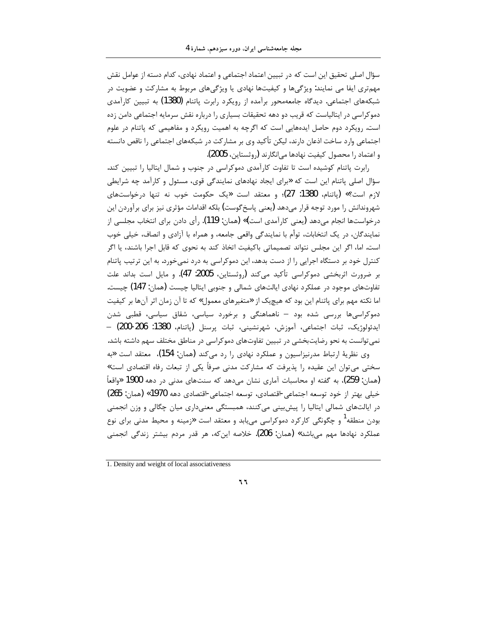سؤال اصلی تحقیق این است که در تبیین اعتماد اجتماعی و اعتماد نهادی، کدام دسته از عوامل نقش مهمتری ایفا می نمایند: ویژگیها و کیفیتها نهادی یا ویژگیهای مربوط به مشارکت و عضویت در شبکههای اجتماعی. دیدگاه جامعهمحور برآمده از رویکرد رابرت پاتنام (1380) به تبیین کارآمدی دموکراسی در ایتالیاست که قریب دو دهه تحقیقات بسیاری را درباره نقش سرمایه اجتماعی دامن زده است. رویکرد دوم حاصل ایدههایی است که اگرچه به اهمیت رویکرد و مفاهیمی که پاتنام در علوم اجتماعی وارد ساخت اذعان دارند، لیکن تأکید وی بر مشارکت در شبکههای اجتماعی را ناقص دانسته و اعتماد را محصول کیفیت نهادها می|نگارند (روثستاین، 2005).

رابرت پاتنام کوشیده است تا تفاوت کارآمدی دموکراسی در جنوب و شمال ایتالیا را تبیین کند. سؤال اصلی پاتنام این است که «برای ایجاد نهادهای نمایندگی قوی، مسئول و کارآمد چه شرایطی لازم است؟» (پاتنام، 1380: 27)؛ و معتقد است «یک حکومت خوب نه تنها درخواستهای شهروندانش را مورد توجه قرار مىدهد (يعني پاسخ گوست) بلكه اقدامات مؤثري نيز براي برآوردن اين درخواستها انجام می،دهد (یعنی کارآمدی است**)» (**همان: 119). رأی دادن برای انتخاب مجلسی از نمايندگان، در يک انتخابات، توأم با نمايندگي واقعي جامعه، و همراه با آزادي و انصاف، خيلي خوب است. اما، اگر این مجلس نتواند تصمیماتی باکیفیت اتخاذ کند به نحوی که قابل اجرا باشند، یا اگر کنترل خود بر دستگاه اجرایی را از دست بدهد، این دموکراسی به درد نمیخورد. به این ترتیب پاتنام بر ضرورت اثربخشی دموکراسی تأکید میکند (روثستاین، 2005: 47). و مایل است بداند علت تفاوتهای موجود در عملکرد نهادی ایالتهای شمالی و جنوبی ایتالیا چیست (همان: 147) چیست. اما نکته مهم برای پاتنام این بود که هیچیک از «متغیرهای معمول» که تا آن زمان اثر آنها بر کیفیت دموکراسیها بررسی شده بود – ناهماهنگی و برخورد سیاسی، شقاق سیاسی، قطبی شدن ايدئولوژيک، ثبات اجتماعي، آموزش، شهرنشيني، ثبات پرسنل (پاتنام، 1380: 206-200) — نمی توانست به نحو رضایتبخشی در تبیین تفاوتهای دموکراسی در مناطق مختلف سهم داشته باشد. وي نظرية ارتباط مدرنيزاسيون و عملكرد نهادي را رد مي كند (همان: 154)، معتقد است «به سختی می¤وان این عقیده را پذیرفت که مشارکت مدنی صرفاً یکی از تبعات رفاه اقتصادی است»

(همان: 259)، به گفته او محاسبات آماری نشان می۵هد که سنتهای مدنی در دهه 1900 «واقعاً خيلي بهتر از خود توسعه اجتماعي-اقتصادي، توسعه اجتماعي-اقتصادي دهه 1970» (همان: 265) در ایالتھای شمالی ایتالیا را پیش بینی می کنند، ھمبستگی معنیداری میان چگالی و وزن انجمنی بودن منطقه<sup>1</sup> و چگونگی کارکرد دموکراسی مییابد و معتقد است «زمینه و محیط مدنی برای نوع عملکرد نهادها مهم مے،باشد» (همان: 206). خلاصه این¢ه، هر قدر مردم بیشتر زندگی انجمنی

1. Density and weight of local associativeness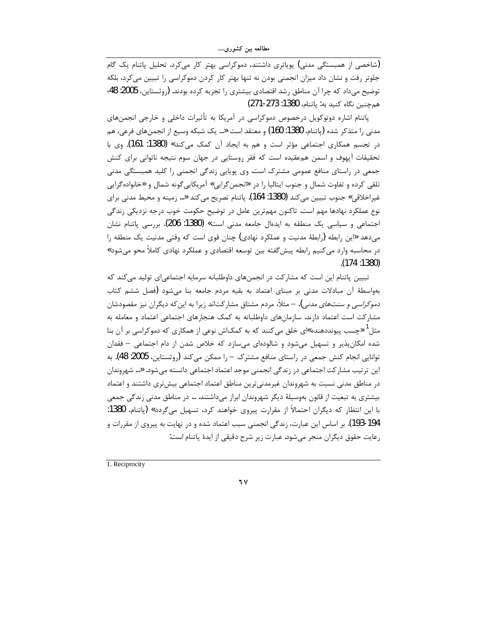(شاخصی از همبستگی مدنی) پویاتری داشتند، دموکراسی بهتر کار میکرد. تحلیل پاتنام یک گام جلوتر رفت و نشان داد میزان انجمنی بودن نه تنها بهتر کار کردن دموکراسی را تبیین میکرد، بلکه توضيح مي داد كه چرا آن مناطق رشد اقتصادي بيشتري را تجربه كرده بودند. (روثستاين، 2005: 48؛ هم چنين نگاه کنيد به: ياتنام، 1380: 273-271)

پاتنام اشاره دوتوکویل درخصوص دموکراسی در آمریکا به تأثیرات داخلی و خارجی انجمنهای مدني را متذكر شده (پاتنام، 1380: 160) و معتقد است «... يک شبکه وسيع از انجمنهاي فرعي، هم در تجسم همکاری اجتماعی مؤثر است و هم به ایجاد آن کمک میکند» (1380: 161). وی با تحقیقات آپهوف و اسمن همءقیده است که فقر روستایی در جهان سوم نتیجه ناتوانی برای کنش جمعی در راستای منافع عمومی مشترک است. وی پویایی زندگی انجمنی را کلید همبستگی مدنی تلقی کرده و تفاوت شمال و جنوب ایتالیا را در «انجمن گرایی» آمریکایی گونه شمال و «خانواده *گ*رایی غيراخلاقي» جنوب تبيين مي كند (1380: 164). پاتنام تصريح مي كند «... زمينه و محيط مدني براي نوع عملکرد نهادها مهم است. تاکنون مهمترین عامل در توضیح حکومت خوب درجه نزدیکی زندگی اجتماعی و سیاسی یک منطقه به ایدهال جامعه مدنی است» (1380: 206). بررسی پاتنام نشان میدهد «این رابطه (رابطهٔ مدنیت و عملکرد نهادی) چنان قوی است که وقتی مدنیت یک منطقه را در محاسبه وارد می *ک*نیم رابطه پیش گفته بین توسعه اقتصادی و عملکرد نهادی کاملاً محو میشود» .(174 :1380)

تبیین پاتنام این است که مشار کت در انجمنهای داوطلبانه سرمایه اجتماعی|ی تولید می کند که بهواسطهٔ آن مبادلات مدنی بر مبنای اعتماد به بقیه مردم جامعه بنا می شود (فصل ششم کتاب *دموکراسی و سنتهای مدنی)*. – مثلاً، مردم مشتاق مشارکتاند زیرا به این *ک*ه دیگران نیز مقصودشان مشارکت است اعتماد دارند. سازمانهای داوطلبانه به کمک هنجارهای اجتماعی اعتماد و معامله به مثل ٰ «چسب پیونددهنده»ای خلق می *ک*نند که به کمکاش نوعی از همکاری که دموکراسی بر آن بنا شده امکان پذیر و تسهیل می شود و شالودهای می سازد که خلاص شدن از دام اجتماعی – فقدان توانایی انجام کنش جمعی در راستای منافع مشترک – را ممکن میکند (روثستاین، 2005: 48). به این ترتیب مشارکت اجتماعی در زندگی انجمنی موجد اعتماد اجتماعی دانسته می شود. «… شهروندان در مناطق مدنی نسبت به شهروندان غیرمدنیترین مناطق اعتماد اجتماعی بیشتری داشتند و اعتماد بیشتری به تبعیت از قانون بهوسیلهٔ دیگر شهروندان ابراز میداشتند. … در مناطق مدنی زندگی جمعی با این انتظار که دیگران احتمالاً از مقرارت پیروی خواهند کرد، تسهیل میگردد» (پاتنام، 1380: 194-193). بر اساس این عبارت، زندگی انجمنی سبب اعتماد شده و در نهایت به پیروی از مقررات و رعايت حقوق ديگران منجر مي شود. عبارت زير شرح دقيقي از ايدهٔ پاتنام است:

1. Reciprocity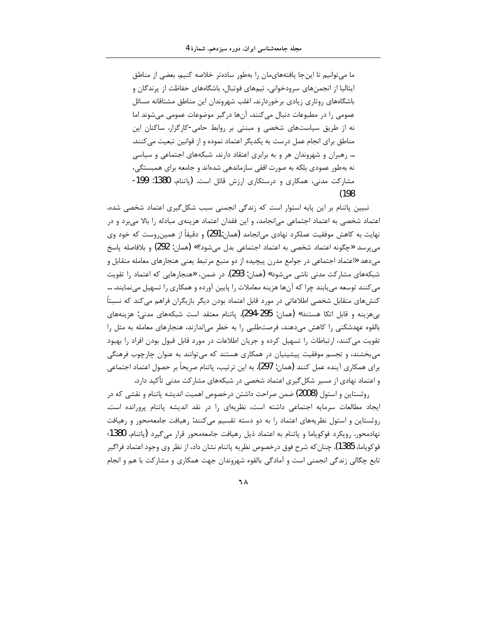ما می توانیم تا این جا یافتههایمان را بهطور سادهتر خلاصه کنیم. بعضی از مناطق ایتالیا از انجمنهای سرودخوانی، تیمهای فوتبال، باشگاههای حفاظت از پرندگان و باشگاههای روتاری زیادی برخوردارند. اغلب شهروندان این مناطق مشتاقانه مسائل عمومی را در مطبوعات دنبال می کنند. آنها در گیر موضوعات عمومی می شوند اما نه از طریق سیاستهای شخصی و مبنتی بر روابط حامی-کارگزار. ساکنان این مناطق برای انجام عمل درست به یکدیگر اعتماد نموده و از قوانین تبعیت می کنند. … رهبران و شهروندان هر و به برابری اعتقاد دارند. شبکههای اجتماعی و سیاسی نه بهطور عمودی بلکه به صورت افقی سازماندهی شدهاند و جامعه برای همبستگی، مشاركت مدنى، همكارى و درستكارى ارزش قائل است. (پاتنام، 1380: 199- $(198)$ 

تبیین پاتنام بر این پایه استوار است که زندگی انجمنی سبب شکل گیری اعتماد شخصی شده، اعتماد شخصی به اعتماد اجتماعی میانجامد، و این فقدان اعتماد هزینهی مبادله را بالا میبرد و در نهایت به کاهش موفقیت عملکرد نهادی می|نجامد (همان:291) و دقیقاً از همین,وست که خود وی مي پرسد «چگونه اعتماد شخصي به اعتماد اجتماعي بدل مي شود؟» (همان: 292) و بلافاصله پاسخ میدهد «اعتماد اجتماعی در جوامع مدرن پیچیده از دو منبع مرتبط یعنی هنجارهای معامله متقابل و شبکههای مشارکت مدنی ناشی میشود» (همان: 293). در ضمن، «هنجارهایی که اعتماد را تقویت می کنند توسعه می یابند چرا که آنها هزینه معاملات را پایین آورده و همکاری را تسهیل می نمایند. … کنشهای متقابل شخصی اطلاعاتی در مورد قابل اعتماد بودن دیگر بازیگران فراهم می کند که نسبتاً بی هزینه و قابل اتکا هستند» (همان: 295-294). پاتنام معتقد است شبکههای مدنی: هزینههای بالقوه عهدشکنی را کاهش میدهند، فرصتطلبی را به خطر میاندازند، هنجارهای معامله به مثل را تقویت می کنند، ارتباطات را تسهیل کرده و جریان اطلاعات در مورد قابل قبول بودن افراد را بهبود می بخشند، و تجسم موفقیت پیشینیان در همکاری هستند که می توانند به عنوان چارچوب فرهنگی براي همكاري آينده عمل كنند (همان: 297). به اين ترتيب، پاتنام صريحاً بر حصول اعتماد اجتماعي و اعتماد نهادی از مسیر شکل گیری اعتماد شخصی در شبکههای مشارکت مدنی تأکید دارد.

روثستاین و استول (2008) ضمن صراحت داشتن درخصوص اهمیت اندیشه پاتنام و نقشی که در ایجاد مطالعات سرمایه اجتماعی داشته است، نظریهای را در نقد اندیشه یاتنام پرورانده است. روثستاین و استول نظریههای اعتماد را به دو دسته تقسیم میکنند: رهیافت جامعهمحور و رهیافت نهادمحور. رويكرد فوكوياما و پاتنام به اعتماد ذيل رهيافت جامعهمحور قرار مي گيرد (پاتنام، 1380؛ فوكوياما، 1385). چنان كه شرح فوق درخصوص نظريه ياتنام نشان داد، از نظر وي وجود اعتماد فراگير تابع چگالي زندگي انجمني است و آمادگي بالقوه شهروندان جهت همکاري و مشارکت با هم و انجام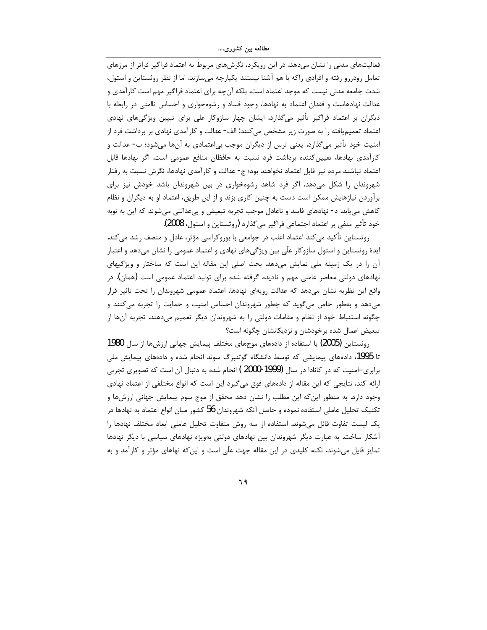فعالیتهای مدنی را نشان میدهد. در این رویکرد، نگرشهای مربوط به اعتماد فراگیر فراتر از مرزهای تعامل رودررو رفته و افرادی راکه با هم آشنا نیستند یکپارچه میسازند. اما از نظر روثستاین و استول، شدت جامعه مدنی نیست که موجد اعتماد است، بلکه آنچه برای اعتماد فراگیر مهم است کار آمدی و عدالت نهادهاست و فقدان اعتماد به نهادها، وجود فساد و رشوهخواری و احساس ناامنی در رابطه با دیگران بر اعتماد فراگیر تأثیر میگذارد. ایشان چهار سازوکار علی برای تبیین ویژگیهای نهادی اعتماد تعمیمیافته را به صورت زیر مشخص میکنند: الف- عدالت و کارآمدی نهادی بر برداشت فرد از امنیت خود تأثیر میگذارد. یعنی ترس از دیگران موجب بی|عتمادی به آنها میشود؛ ب- عدالت و کارآمدی نهادها، تعیینکننده برداشت فرد نسبت به حافظان منافع عمومی است. اگر نهادها قابل اعتماد نباشند مردم نیز قابل اعتماد نخواهند بود؛ ج- عدالت و کارآمدی نهادها، نگرش نسبت به رفتار شهروندان را شکل میدهد. اگر فرد شاهد رشوهخواری در بین شهروندان باشد خودش نیز برای برآوردن نیازهایش ممکن است دست به چنین کاری بزند و از این طریق، اعتماد او به دیگران و نظام کاهش می یابد. د- نهادهای فاسد و ناعادل موجب تجربه تبعیض و بیءدالتی می شوند که این به نوبه خود تأثير منفي بر اعتماد اجتماعي فراگير مي گذارد (روثستاين و استول، 2008).

روثستاین تأکید میکند اعتماد اغلب در جوامعی با بوروکراسی مؤثر، عادل و منصف رشد میکند. ایدهٔ روثستاین و استول سازوکار علّی بین ویژگیهای نهادی و اعتماد عمومی را نشان میدهد و اعتبار آن را در یک زمینه ملی نمایش میدهد. بحث اصلی این مقاله این است که ساختار و ویژگیهای نهادهای دولتی معاصر عاملی مهم و نادیده گرفته شده برای تولید اعتماد عمومی است (همان). در واقع این نظریه نشان میدهد که عدالت رویهای نهادها، اعتماد عمومی شهروندان را تحت تاثیر قرار می دهد و بهطور خاص می گوید که چطور شهروندان احساس امنیت و حمایت را تجربه می کنند و چگونه استنباط خود از نظام و مقامات دولتی را به شهروندان دیگر تعمیم میدهند. تجربه آنها از تبعیض اعمال شده برخودشان و نزدیکانشان چگونه است؟

روثستاین (2005) با استفاده از دادههای موجهای مختلف پیمایش جهانی ارزشها از سال 1980 تا 1995، دادههای پیمایشی که توسط دانشگاه گوتنبرگ سوئد انجام شده و دادههای پیمایش ملی برابری-امنیت که در کانادا در سال (1999-2000 ) انجام شده به دنبال آن است که تصویری تجربی ارائه کند. نتایجی که این مقاله از دادههای فوق میگیرد این است که انواع مختلفی از اعتماد نهادی وجود دارد. به منظور این که این مطلب را نشان دهد محقق از موج سوم پیمایش جهانی ارزشها و تکنیک تحلیل عاملی استفاده نموده و حاصل آنکه شهروندان 56 کشور میان انواع اعتماد به نهادها در یک لیست تفاوت قائل میشوند. استفاده از سه روش متفاوت تحلیل عاملی ابعاد مختلف نهادها را آشکار ساخت. به عبارت دیگر شهروندان بین نهادهای دولتی بهویژه نهادهای سیاسی با دیگر نهادها تمایز قایل میشوند. نکته کلیدی در این مقاله جهت علّی است و این که نهاهای مؤثر و کارآمد و به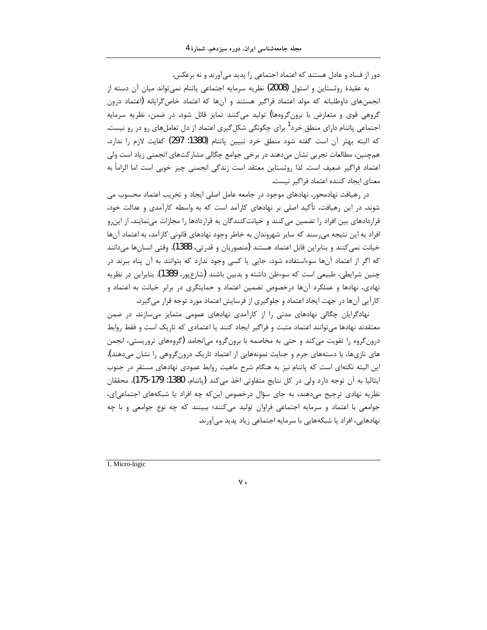دور از فساد و عادل هستند که اعتماد اجتماعی را پدید می آورند و نه برعکس.

به عقيدهٔ روثستاين و استول (2008) نظريه سرمايه اجتماعي پاتنام نمي¤واند ميان آن دسته از انجمنهای داوطلبانه که مولد اعتماد فراگیر هستند و آنها که اعتماد خاص گرایانه (اعتماد درون گروهی قوی و متعارض با برونگروهها) تولید میکنند تمایز قائل شود. در ضمن، نظریه سرمایه اجتماعی پاتنام دارای منطق خرد<sup>1</sup> برای چگونگی شکل *گ*یری اعتماد از دل تعاملهای رو در رو نیست. كه البته بهتر آن است گفته شود منطق خرد تبيين پاتنام (1380: 297) كفايت لازم را ندارد. همچنین، مطالعات تجربی نشان میدهند در برخی جوامع چگالی مشارکتهای انجمنی زیاد است ولی اعتماد فراگیر ضعیف است. لذا روثستاین معتقد است زندگی انجمنی چیز خوبی است اما الزاماً به معناي ايجاد كننده اعتماد فراگير نيست.

در رهیافت نهادمحور، نهادهای موجود در جامعه عامل اصلی ایجاد و تخریب اعتماد محسوب می شوند. در این رهیافت، تأکید اصلی بر نهادهای کارآمد است که به واسطه کارآمدی و عدالت خود، قراردادهای بین افراد را تضمین می کنند و خیانت کنندگان به قراردادها را مجازات مینمایند. از این رو افراد به این نتیجه می رسند که سایر شهروندان به خاطر وجود نهادهای قانونی کارآمد، به اعتماد آنها خیانت نمی کنند و بنابراین قابل اعتماد هستند (منصوریان و قدرتی، 1388). وقتی انسانها میدانند که اگر از اعتماد آنها سوءاستفاده شود، جایی یا کسی وجود ندارد که بتوانند به آن پناه ببرند در چنین شرایطی، طبیعی است که سوءظن داشته و بدبین باشند (شارعپور، 1389). بنابراین در نظریه نهادی، نهادها و عملکرد آنها درخصوص تضمین اعتماد و حمایتگری در برابر خیانت به اعتماد و كارآيي آنها در جهت ايجاد اعتماد و جلوگيري از فرسايش اعتماد مورد توجه قرار مي گيرد.

نهادگرایان چگالی نهادهای مدنی را از کارآمدی نهادهای عمومی متمایز میسازند. در ضمن معتقدند نهادها میتوانند اعتماد مثبت و فراگیر ایجاد کنند یا اعتمادی که تاریک است و فقط روابط درونگروه را تقویت میکند و حتی به مخاصمه با برونگروه میانجامد (گروههای تروریستی، انجمن های نازیها، یا دستههای جرم و جنایت نمونههایی از اعتماد تاریک درونگروهی را نشان میدهند). این البته نکتهای است که پاتنام نیز به هنگام شرح ماهیت روابط عمودی نهادهای مستقر در جنوب ايتاليا به آن توجه دارد ولي در كل نتايج متفاوتي اخذ مي كند (پاتنام، 1380: 179-175). محققان نظریه نهادی ترجیح می،دهند، به جای سؤال درخصوص این که چه افراد یا شبکههای اجتماعی|ی، جوامعي با اعتماد و سرمايه اجتماعي فراوان توليد مي كنند؛ ببينند كه چه نوع جوامعي و با چه نهادهایی، افراد یا شبکههایی با سرمایه اجتماعی زیاد پدید می آورند.

1. Micro-logic

 $\mathsf{v}$ .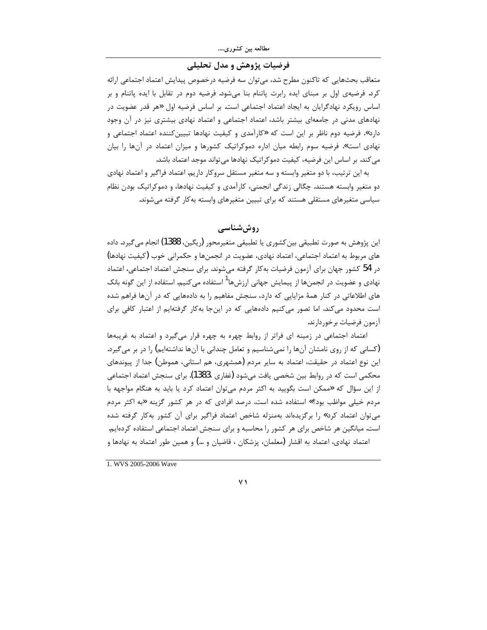## فرضیات پژوهش و مدل تحلیلی

متعاقب بحثهايي كه تاكنون مطرح شد، ميتوان سه فرضيه درخصوص پيدايش اعتماد اجتماعي ارائه کرد. فرضیهی اول بر مبنای ایده رابرت پاتنام بنا میشود. فرضیه دوم در تقابل با ایده پاتنام و بر اساس رویکرد نهادگرایان به ایجاد اعتماد اجتماعی است. بر اساس فرضیه اول «هر قدر عضویت در نهادهای مدنی در جامعهای بیشتر باشد، اعتماد اجتماعی و اعتماد نهادی بیشتری نیز در آن وجود دارد». فرضیه دوم ناظر بر این است که «کارآمدی و کیفیت نهادها تبیینکننده اعتماد اجتماعی و نهادی است». فرضیه سوم رابطه میان اداره دموکراتیک کشورها و میزان اعتماد در آنها را بیان می کند. بر اساس این فرضیه، کیفیت دموکراتیک نهادها می تواند موجد اعتماد باشد.

به این ترتیب، با دو متغیر وابسته و سه متغیر مستقل سروکار داریم. اعتماد فراگیر و اعتماد نهادی دو متغیر وابسته هستند. چگالی زندگی انجمنی، کارآمدی و کیفیت نهادها، و دموکراتیک بودن نظام سیاسی متغیرهای مستقلی هستند که برای تبیین متغیرهای وابسته بهکار گرفته میشوند.

## روش شناسے

اين پژوهش به صورت تطبيقي بين كشوري يا تطبيقي متغيرمحور (ريگين، 1388) انجام مي گيرد. داده های مربوط به اعتماد اجتماعی، اعتماد نهادی، عضویت در انجمنها و حکمرانی خوب (کیفیت نهادها) در 54 كشور جهان براي آزمون فرضيات بهكار گرفته مىشوند. براي سنجش اعتماد اجتماعي، اعتماد نهادی و عضویت در انجمنها از پیمایش جهانی ارزشها<sup>ا</sup> استفاده می کنیم. استفاده از این گونه بانک های اطلاعاتی در کنار همهٔ مزایایی که دارد، سنجش مفاهیم را به دادههایی که در آنها فراهم شده است محدود می کند. اما تصور می کنیم دادههایی که در اینجا به کار گرفتهایم از اعتبار کافی برای آزمون فرضيات برخوردارند.

اعتماد اجتماعی در زمینه ای فراتر از روابط چهره به چهره قرار میگیرد و اعتماد به غریبهها (کسانی که از روی نامشان آنها را نمیشناسیم و تعامل چندانی با آنها نداشتهایم) را در بر می گیرد. این نوع اعتماد در حقیقت، اعتماد به سایر مردم (همشهری، هم استانی، هموطن) جدا از پیوندهای محکمی است که در روابط بین شخصی یافت میشود (غفاری ،1383). برای سنجش اعتماد اجتماعی از این سؤال که «ممکن است بگویید به اکثر مردم میتوان اعتماد کرد یا باید به هنگام مواجهه با مردم خیلی مواظب بود؟» استفاده شده است. درصد افرادی که در هر کشور گزینه «به اکثر مردم می توان اعتماد کرد» را برگزیدهاند بهمنزله شاخص اعتماد فراگیر برای آن کشور بهکار گرفته شده است. میانگین هر شاخص برای هر کشور را محاسبه و برای سنجش اعتماد اجتماعی استفاده کردهایم. اعتماد نهادی، اعتماد به اقشار (معلمان، پزشکان ، قاضیان و …) و همین طور اعتماد به نهادها و

1. WVS 2005-2006 Wave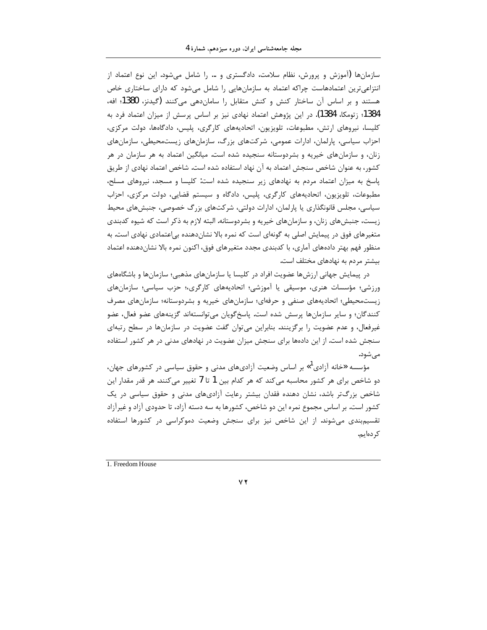سازمانها (آموزش و پرورش، نظام سلامت، دادگستری و … را شامل می،شود. این نوع اعتماد از انتزاعیترین اعتمادهاست چراکه اعتماد به سازمانهایی را شامل میشود که دارای ساختاری خاص هستند و بر اساس آن ساختار کنش و کنش متقابل را سامانِ هی میکنند (گیدنز، 1380؛ افه، 1384؛ زتومکا، 1384). در این پژوهش اعتماد نهادی نیز بر اساس پرسش از میزان اعتماد فرد به کلیسا، نیروهای ارتش، مطبوعات، تلویزیون، اتحادیههای کارگری، پلیس، دادگاهها، دولت مرکزی، احزاب سیاسی، پارلمان، ادارات عمومی، شرکتهای بزرگ، سازمانهای زیستمحیطی، سازمانهای زنان، و سازمانهای خیریه و بشردوستانه سنجیده شده است. میانگین اعتماد به هر سازمان در هر کشور، به عنوان شاخص سنجش اعتماد به آن نهاد استفاده شده است. شاخص اعتماد نهادی از طریق پاسخ به میزان اعتماد مردم به نهادهای زیر سنجیده شده است: کلیسا و مسجد، نیروهای مسلح، مطبوعات، تلویزیون، اتحادیههای کارگری، پلیس، دادگاه و سیستم قضایی، دولت مرکزی، احزاب سیاسی، مجلس قانونگذاری یا پارلمان، ادارات دولتی، شرکتهای بزرگ خصوصی، جنبشهای محیط زیست، جنبشهای زنان، و سازمانهای خیریه و بشردوستانه. البته لازم به ذکر است که شیوه کدبندی متغیرهای فوق در پیمایش اصلی به گونهای است که نمره بالا نشاندهنده بی|عتمادی نهادی است. به منظور فهم بهتر دادههای آماری، با کدبندی مجدد متغیرهای فوق، اکنون نمره بالا نشاندهنده اعتماد بیشتر مردم به نهادهای مختلف است.

در پیمایش جهانی ارزشها عضویت افراد در کلیسا یا سازمانهای مذهبی؛ سازمانها و باشگاههای ورزشی؛ مؤسسات هنری، موسیقی یا آموزشی؛ اتحادیههای کارگری،؛ حزب سیاسی؛ سازمانهای زیستمحیطی؛ اتحادیههای صنفی و حرفهای؛ سازمانهای خیریه و بشردوستانه؛ سازمانهای مصرف کنندگان؛ و سایر سازمانها پرسش شده است. پاسخگویان میتوانستهاند گزینههای عضو فعال، عضو غیرفعال، و عدم عضویت را برگزینند. بنابراین می توان گفت عضویت در سازمانها در سطح رتبهای سنجش شده است. از این دادهها برای سنجش میزان عضویت در نهادهای مدنی در هر کشور استفاده می شود.

مؤسسه «خانه آزادی"» بر اساس وضعیت آزادیهای مدنی و حقوق سیاسی در کشورهای جهان، دو شاخص برای هر کشور محاسبه می کند که هر کدام بین 1 تا 7 تغییر می کنند. هر قدر مقدار این شاخص بزرگ تر باشد، نشان دهنده فقدان بیشتر رعایت آزادیهای مدنی و حقوق سیاسی در یک کشور است. بر اساس مجموع نمره این دو شاخص، کشورها به سه دسته آزاد، تا حدودی آزاد و غیرآزاد تقسیم بندی می شوند. از این شاخص نیز برای سنجش وضعیت دموکراسی در کشورها استفاده کر دہایہ.

1. Freedom House

 $\forall$   $\forall$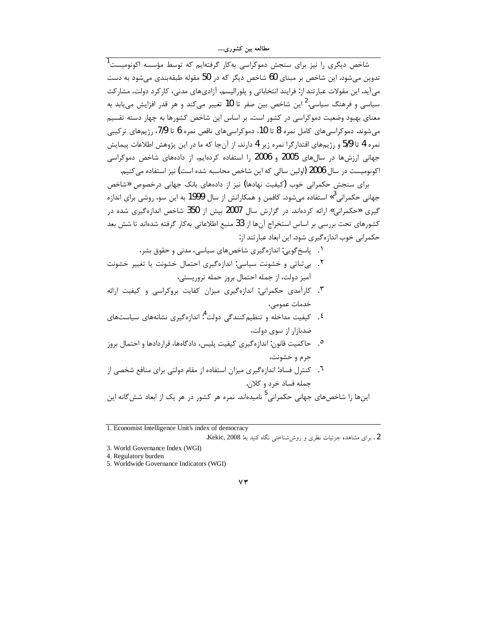.<br>شاخص دیگری را نیز برای سنجش دموکراسی بهکار گرفتهایم که توسط مؤسسه اکونومیست<sup>1</sup> تدوین میشود. این شاخص بر مبنای 60 شاخص دیگر که در 50 مقوله طبقهبندی می شود به دست می آید. این مقولات عبارتند از: فرایند انتخاباتی و پلورالیسم، آزادیهای مدنی، کارکرد دولت، مشارکت سیاسی و فرهنگ سیاسی.<sup>2</sup> این شاخص بین صفر تا 10 تغییر میکند و هر قدر افزایش می<u>ب</u>ابد به معنای بهبود وضعیت دموکراسی در کشور است. بر اساس این شاخص کشورها به چهار دسته تقسیم می شوند. دموکراسی های کامل نمره 8 تا 10، دموکراسی های ناقص نمره 6 تا 7/9، رژیمهای ترکیبی نمره 4 تا 5/9 و رژيمهاي اقتدارگرا نمره زير 4 دارند. از آنجا كه ما در اين پژوهش اطلاعات پيمايش جهانی ارزشها در سالهای 2005 و 2006 را استفاده کردهایم، از دادههای شاخص دموکراسی اکونومیست در سال 2006 (اولین سالی که این شاخص محاسبه شده است) نیز استفاده می کنیم.

برای سنجش حکمرانی خوب (کیفیت نهادها) نیز از دادههای بانک جهانی درخصوص «شاخص جهانی حکمرانی<sup>3</sup>» استفاده میشود. کافمن و همکارانش از سال **1999** به این سو، روشی برای اندازه گیری «حکمرانی» ارائه کردهاند. در گزارش سال 2007 بیش از 350 شاخص اندازهگیری شده در كشورهاي تحت بررسي بر اساس استخراج آنها از 33 منبع اطلاعاتي به كار گرفته شدهاند تا شش بعد حکمرانی خوب اندازهگیری شود. این ابعاد عبارتند از:

- ۰۱ پاسخ گویی: اندازه گیری شاخصهای سیاسی، مدنی و حقوق بشر،
- ٢. بي ثباتي و خشونت سياسي: اندازهگيري احتمال خشونت يا تغيير خشونت آميز دولت، از جمله احتمال بروز حمله تروريستي،
- ۳. کارآمدی حکمرانی: اندازهگیری میزان کفایت بروکراسی و کیفیت ارائه خدمات عمومے،
- <sup>٤</sup>. کيفيت مداخله و تنظيم کنندگي دولت <sup>4</sup>: اندازهگيري نشانههاي سياستهاي ضدبازار از سوی دولت،
- ۰. حاكميت قانون: اندازه گيري كيفيت پليس، دادگاهها، قراردادها و احتمال بروز جرم و خشونت،
- <sup>7</sup>. کنترل فساد: اندازهگیری میزان استفاده از مقام دولتی برای منافع شخصی از جمله فساد خرد و کلان.

اینها ,ا شاخص،های جهانی حکمرانی<sup>5</sup> نامیدهاند. نمره هر کشور در هر یک از ابعاد شش6لنه این

1. Economist Intelligence Unit's index of democracy

#### $\vee \tau$

<sup>2 .</sup> برای مشاهده جزئیات نظری و روش شناختی نگاه کنید به: Kekic, 2008.

<sup>3.</sup> World Governance Index (WGI)

<sup>4.</sup> Regulatory burden

<sup>5.</sup> Worldwide Governance Indicators (WGI)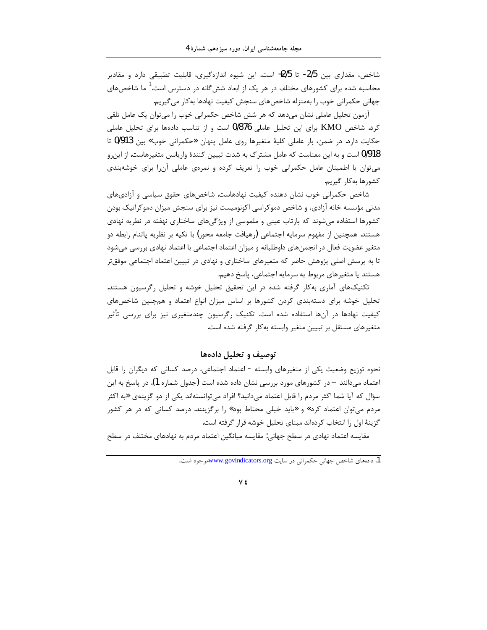شاخص، مقداری بین 2/5- تا 2/5+ است. این شیوه اندازهگیری، قابلیت تطبیقی دارد و مقادیر محاسبه شده برای کشورهای مختلف در هر یک از ابعاد ششگانه در دسترس است.<sup>1</sup> ما شاخصهای جهانی حکمرانی خوب را بهمنزله شاخصهای سنجش کیفیت نهادها بهکار می گیریم.

آزمون تحلیل عاملی نشان میدهد که هر شش شاخص حکمرانی خوب را میتوان یک عامل تلقی کرد. شاخص KMO برای این تحلیل عاملی 0/876 است و از تناسب دادهها برای تحلیل عاملی حکایت دارد. در ضمن، بار عاملی کلیهٔ متغیرها روی عامل پنهان «حکمرانی خوب» بین 913/0 تا 0/918 است و به این معناست که عامل مشترک به شدت تبیین کنندهٔ واریانس متغیرهاست. از این رو می توان با اطمینان عامل حکمرانی خوب را تعریف کرده و نمرهی عاملی آن را برای خوشهبندی كشورها بهكار گيريم.

شاخص حکمرانی خوب نشان دهنده کیفیت نهادهاست. شاخصهای حقوق سیاسی و آزادیهای مدنی مؤسسه خانه آزادی، و شاخص دموکراسی اکونومیست نیز برای سنجش میزان دموکراتیک بودن کشورها استفاده میشوند که بازتاب عینی و ملموسی از ویژگیهای ساختاری نهفته در نظریه نهادی هستند. همچنین از مفهوم سرمایه اجتماعی (رهیافت جامعه محور) با تکیه بر نظریه پاتنام رابطه دو متغیر عضویت فعال در انجمنهای داوطلبانه و میزان اعتماد اجتماعی با اعتماد نهادی بررسی میشود تا به پرسش اصلی پژوهش حاضر که متغیرهای ساختاری و نهادی در تبیین اعتماد اجتماعی موفق تر هستند یا متغیرهای مربوط به سرمایه اجتماعی، پاسخ دهیم.

تکنیکهای آماری بهکار گرفته شده در این تحقیق تحلیل خوشه و تحلیل رگرسیون هستند. تحلیل خوشه برای دستهبندی کردن کشورها بر اساس میزان انواع اعتماد و همچنین شاخصهای کیفیت نهادها در آنها استفاده شده است. تکنیک رگرسیون چندمتغیری نیز برای بررسی تأثیر متغیرهای مستقل بر تبیین متغیر وابسته به کار گرفته شده است.

### توصيف و تحليل دادهها

نحوه توزیع وضعیت یکی از متغیرهای وابسته - اعتماد اجتماعی، درصد کسانی که دیگران را قابل اعتماد میدانند – در کشورهای مورد بررسی نشان داده شده است (جدول شماره 1). در پاسخ به این سؤال که آیا شما اکثر مردم را قابل اعتماد میدانید؟ افراد میتوانستهاند یکی از دو گزینهی «به اکثر مردم می توان اعتماد کرد» و «باید خیلی محتاط بود» را برگزینند. درصد کسانی که در هر کشور گزینهٔ اول را انتخاب کردهاند مبنای تحلیل خوشه قرار گرفته است.

مقایسه اعتماد نهادی در سطح جهانی: مقایسه میانگین اعتماد مردم به نهادهای مختلف در سطح

<sup>1.</sup> دادههای شاخص جهانی حکمرانی در سابت www.govindicators.orgسهوجود است.

٧٤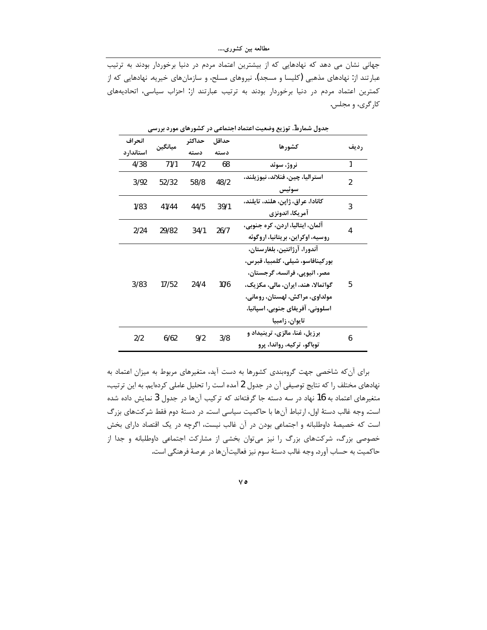جهانی نشان می دهد که نهادهایی که از بیشترین اعتماد مردم در دنیا برخوردار بودند به ترتیب عبارتند از: نهادهای مذهبی (کلیسا و مسجد)، نیروهای مسلح، و سازمانهای خیریه. نهادهایی که از کمترین اعتماد مردم در دنیا برخوردار بودند به ترتیب عبارتند از: احزاب سیاسی، اتحادیههای کارگري، و مجلس.

|            | ט <i>- ע ---דנ</i> י־ט <i>-דנ- הנר</i> י־ט |        |       |                                    |                |
|------------|--------------------------------------------|--------|-------|------------------------------------|----------------|
| انحر اف    | ميانگين                                    | حداكثر | حداقل |                                    |                |
| استاندار د |                                            | دسته   | دسته  | كشورها                             | <b>رديف</b>    |
| 4/38       | 71/1                                       | 74/2   | 68    | نروژ، سوئد                         | 1              |
| 3/92       | 52/32                                      | 58/8   | 48/2  | استراليا، چين، فنلاند، نيوزيلند،   | $\mathfrak{p}$ |
|            |                                            |        |       | سوئيس                              |                |
| 1/83       | 41/44                                      | 44/5   | 39/1  | كانادا، عراق، ژاپن، هلند، تايلند،  | 3              |
|            |                                            |        |       | آمريكا، اندونزي                    |                |
| 2/24       | 29/82                                      | 34/1   | 26/7  | آلمان، ایتالیا، اردن، کره جنوبی،   | 4              |
|            |                                            |        |       | روسیه، اوکراین، بریتانیا، اروگوئه  |                |
|            |                                            |        |       | آندورا، آرژانتین، بلغارستان،       |                |
|            |                                            |        |       | بور كينافاسو، شيلي، كلمبيا، قبرس،  |                |
|            |                                            |        |       | مصر، اتيوپي، فرانسه، گرجستان،      |                |
| 3/83       | 17/52                                      | 24/4   | 10/6  | گواتمالا، هند، ایران، مالی، مکزیک، | 5              |
|            |                                            |        |       | مولداوي، مراكش، لهستان، روماني،    |                |
|            |                                            |        |       | اسلوونی، آفریقای جنوبی، اسپانیا،   |                |
|            |                                            |        |       | تايوان، زامبيا                     |                |
| 2/2        | 6/62                                       | 9/2    | 3/8   | برزیل، غنا، مالزی، ترینیداد و      | 6              |
|            |                                            |        |       | توباگو، ترکیه، رواندا، پرو         |                |

جدول شماره1. توزیع وضعیت اعتماد اجتماعی در کشورهای مورد پررسے

برای آن که شاخصی جهت گروهبندی کشورها به دست آید، متغیرهای مربوط به میزان اعتماد به نهادهای مختلف را که نتایج توصیفی آن در جدول 2 آمده است را تحلیل عاملی کردهایم. به این ترتیب، متغیرهای اعتماد به 16 نهاد در سه دسته جا گرفتهاند که ترکیب آنها در جدول 3 نمایش داده شده است. وجه غالب دستهٔ اول، ارتباط آنها با حاکمیت سیاسی است. در دستهٔ دوم فقط شرکتهای بزرگ است که خصیصهٔ داوطلبانه و اجتماعی بودن در آن غالب نیست، اگرچه در یک اقتصاد دارای بخش خصوصی بزرگ، شرکتهای بزرگ را نیز میتوان بخشی از مشارکت اجتماعی داوطلبانه و جدا از حاكميت به حساب آورد. وجه غالب دستهٔ سوم نيز فعاليتآنها در عرصهٔ فرهنگي است.

 $\vee$  0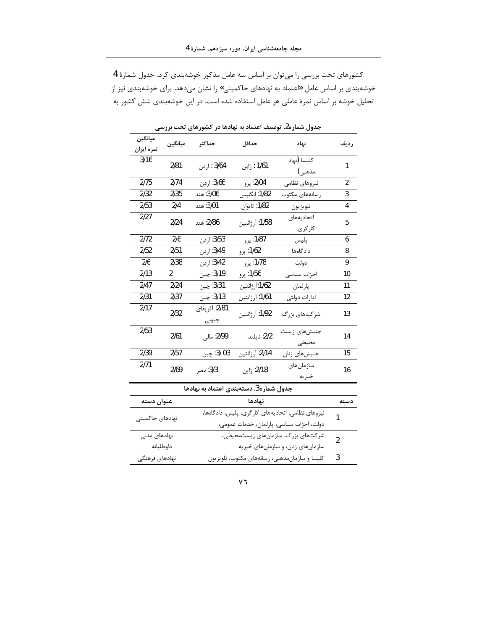کشورهای تحت بررسی را می توان بر اساس سه عامل مذکور خوشهبندی کرد. جدول شمارهٔ 4 خوشهبندی بر اساس عامل «اعتماد به نهادهای حاکمیتی» را نشان میدهد. برای خوشهبندی نیز از تحلیل خوشه بر اساس نمرهٔ عاملی هر عامل استفاده شده است. در این خوشهبندی شش کشور به

| ۳٫۶ سی<br>- כנידים<br>- 7- - - - - - - -<br>- כט     |         |                             |                    |                       |                |  |
|------------------------------------------------------|---------|-----------------------------|--------------------|-----------------------|----------------|--|
| ميانگين<br>نمره ايران                                | ميانگين | حداكثر                      | حداقل              | نهاد                  | رديف           |  |
| 3/16                                                 | 2/81    | 3/64 : اردن                 | 1/61 : ژاپن        | كليسا (نهاد<br>مذهبي) | 1              |  |
| 2/75                                                 | 2/74    | 3/66: اردن                  | 2/04: پرو          | نيروهاي نظامى         | $\overline{a}$ |  |
| 2/32                                                 | 2/35    | 3/06: هند                   | 1/82: انگلیس       | رسانههای مکتوب        | 3              |  |
| 2/53                                                 | 2/4     | 3/01: هند                   | 1/82: تايوان       | تلويزيون              | 4              |  |
| 2/27                                                 | 2/24    | 2/86: هند                   | 1/58: آرژانتین     | اتحاديههاى<br>كارگرى  | 5              |  |
| 2/72                                                 | 2/6     | 3/53: اردن                  | 1/87: پرو          | پلیس                  | 6              |  |
| 2/52                                                 | 2/51    | 3/49: ا <sub>ر</sub> دن     | 1/62: پرو          | دادگاهها              | 8              |  |
| 2/6                                                  | 2/38    | 3/42: اردن                  | 1/78: پرو          | دولت                  | 9              |  |
| 2/13                                                 | 2       | 3/19: چين                   | 1/56: پرو          | احزاب سياسى           | 10             |  |
| 2/47                                                 | 2/24    | 3/31: چين                   | ۔<br>1/62:آرژانتین | پارلمان               | 11             |  |
| 2/31                                                 | 2/37    | 3/13: چين                   | 1/61: آرژانتین     | ادارات دولتى          | 12             |  |
| 2/17                                                 | 2/32    | .<br>2/81: آفريقاي<br>جنوبى | 1/92: آرژانتین     | شر کتهای بزرگ         | 13             |  |
| 2/53                                                 | 2/61    | 2/99: مال <sub>ى</sub>      | 2/2: تايلند        | جنبشهای زیست<br>محيطى | 14             |  |
| 2/39                                                 | 2/57    | 3/ 31: چين                  | 2/14: آرژانتین     | جنبش های زنان         | 15             |  |
| 2/71                                                 | 2/69    | 3/3: مصر                    | 2/18: ژاپن         | سازمان های<br>خيريه   | 16             |  |
| جدول شماره3. دستهبندی اعتماد به نهادها               |         |                             |                    |                       |                |  |
| عنوان دسته                                           |         |                             | نهادها             |                       | دسته           |  |
| ان بردام انغللت اتحاد بمدام کا گرم را با ردادگاه دار |         |                             |                    |                       |                |  |

حدول شماره2. توصیف اعتماد به نهادها در کشورهای تحت بررس<u>ه</u>

|                 | جدول شماره3. دستهبندی اعتماد به نهادها            |      |
|-----------------|---------------------------------------------------|------|
| عنوان دسته      | نهادها                                            | دسته |
| نهادهای حاکمیتی | نیروهای نظامی، اتحادیههای کارگری، پلیس، دادگاهها، |      |
|                 | دولت، احزاب سياسي، پارلمان، خدمات عمومي،          |      |
| نهادهای مدنی    | شرکتهای بزرگ، سازمانهای زیستمحیطی،                | 2    |
| داوطلبانه       | سازمانهای زنان، و سازمانهای خیریه                 |      |
| نهادهای فرهنگی  | کلیسا و سازمانمذهبی، رسانههای مکتوب، تلویزیون     | 3    |
|                 |                                                   |      |

 $\mathsf{V}\mathbb{I}$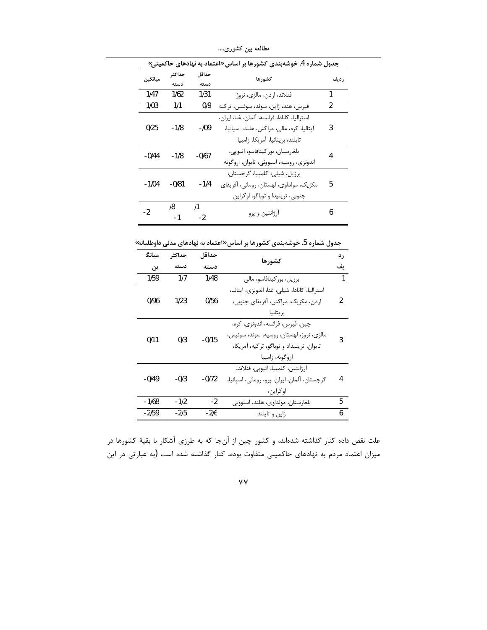| جدول شماره 4. خوشهبندی کشورها بر اساس «اعتماد به نهادهای حاکمیتی» |         |                                          |                                              |               |  |
|-------------------------------------------------------------------|---------|------------------------------------------|----------------------------------------------|---------------|--|
| ميانگين                                                           | حداكثر  | حداقل                                    | كشورها                                       | رديف          |  |
|                                                                   | دسته    | دسته                                     |                                              |               |  |
| 1/47                                                              | 1/62    | 1/31                                     | فنلاند، اردن، مالزي، نروژ                    | 1             |  |
| 1/03                                                              | 1/1     | 0/9                                      | قبرس، هند، ژاپن، سوئد، سوئیس، ترکیه          | $\mathcal{P}$ |  |
|                                                                   |         |                                          | استراليا، كانادا، فرانسه، آلمان، غنا، ايران، |               |  |
| 0/25                                                              | -1/8    | -109                                     | ایتالیا، کره، مالی، مراکش، هلند، اسپانیا،    | 3             |  |
|                                                                   |         |                                          | تايلند، بريتانيا، آمريكا، زامبيا             |               |  |
| $-0/44$                                                           | $-1/8$  | $-0/67$                                  | بلغارستان، بور كينافاسو، اتيويى،             |               |  |
|                                                                   |         | اندونزي، روسيه، اسلووني، تايوان، اروگوئه |                                              |               |  |
|                                                                   |         |                                          | برزيل، شيلي، كلمبيا، گرجستان،                |               |  |
| -1/04                                                             | $-0/81$ | $-1/4$                                   | مکزیک، مولداوی، لهستان، رومانی، آفریقای      | 5             |  |
|                                                                   |         |                                          | جنوبی، ترینیدا و توباگو، اوکراین             |               |  |
| -2                                                                | 18      | /1                                       |                                              | 6             |  |
|                                                                   |         | $-2$                                     | آرژانتین و پرو                               |               |  |

مطالعه بین کشوری….

جدول شماره 5. خوشهبندی کشورها بر اساس «اعتماد به نهادهای مدنی داوطلبانه»

| مىانگ   | حداكثر | حداقل   | کشورها                                                                                                                                       | ر د |
|---------|--------|---------|----------------------------------------------------------------------------------------------------------------------------------------------|-----|
| ين      | دسته   | دسته    |                                                                                                                                              | ىف  |
| 1/59    | 1/7    | 1/48    | برزیل، بورکینافاسو، مالی                                                                                                                     | 1   |
| 0/96    | 1/23   | 0/56    | استرالیا، کانادا، شیلی، غنا، اندونزی، ایتالیا،<br>اردن، مكزيك، مراكش، آفريقاي جنوبي،<br>بر يتانيا                                            | 2   |
| 0/11    | 0/3    | $-0/15$ | چين، قبرس، فرانسه، اندونزي، كره،<br>مالزی، نروژ، لهستان، روسیه، سوئد، سوئیس،<br>تايوان، ترينيداد و توباگو، تركيه، آمريكا،<br>اروگوئه، زامبيا | ς   |
| $-0/49$ | $-0/3$ | $-0/72$ | آرژانتین، کلمبیا، اتیوپی، فنلاند،<br>گرجستان، آلمان، ايران، پرو، روماني، اسپانيا،<br>او کراین،                                               | 4   |
| $-1/68$ | -1/2   | $-2$    | بلغارستان، مولداوى، هلند، اسلوونى                                                                                                            | 5   |
| $-2/59$ | $-2/5$ | -216    | ژاپن و تايلند                                                                                                                                | 6   |

علت نقص داده کنار گذاشته شدهاند، و کشور چین از آنجا که به طرزی آشکار با بقیهٔ کشورها در میزان اعتماد مردم به نهادهای حاکمیتی متفاوت بوده، کنار گذاشته شده است (به عبارتی در این

 $\mathsf{v}\mathsf{v}$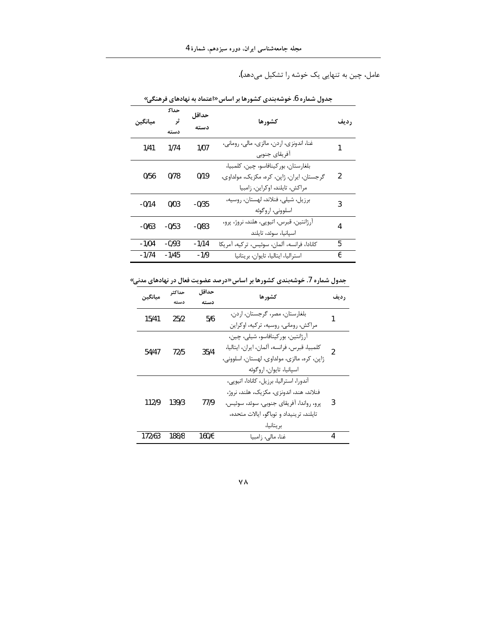عامل، چین به تنهایی یک خوشه را تشکیل میدهد).

|         | حداك       |               | جدوں سمارہ ں. حوسہبندی نسورھا پر اساس «اعتماد به نهادهای فرهنجی»                                                     |                |
|---------|------------|---------------|----------------------------------------------------------------------------------------------------------------------|----------------|
| ميانگين | ثر<br>دسته | حداقل<br>دسته | كشورها                                                                                                               | <b>رديف</b>    |
| 1/41    | 1/74       | 1/07          | غنا، اندونزي، اردن، مالزي، مالي، روماني،<br>آفريقاي جنوبي                                                            |                |
| 0/56    | 0/78       | 0/19          | بلغارستان، بوركينافاسو، چين، كلمبيا،<br>گرجستان، ایران، ژاپن، کره، مکزیک، مولداوی،<br>مراكش، تايلند، اوكراين، زامبيا | $\mathfrak{p}$ |
| $-0/14$ | 0/03       | $-0/35$       | برزيل، شيلي، فنلاند، لهستان، روسيه،<br>اسلوونی، اروگوئه                                                              | 3              |
| $-0/63$ | $-0/53$    | $-0/83$       | آرژانتین، قبرس، اتیوپی، هلند، نروژ، پرو،<br>اسپانیا، سوئد، تایلند                                                    | 4              |
| $-1/04$ | $-0/93$    | $-1/14$       | كانادا، فرانسه، آلمان، سوئيس، تركيه، آمريكا                                                                          | 5              |
| $-1/74$ | $-1/45$    | $-1/9$        | استراليا، ايتاليا، تايوان، بريتانيا                                                                                  | 6              |

جدول شماره 6. خوشهبندی کشورها بر اساس «اعتماد به نهادهای فرهنگی»

جدول شماره 7. خوشهبندی کشورها بر اساس «درصد عضویت فعال در نهادهای مدنی»

| مىانگىن | حداكثر | حداقل | کشور ها                                      | ر ديف          |
|---------|--------|-------|----------------------------------------------|----------------|
|         | دسته   | دسته  |                                              |                |
| 15/41   | 25/2   | 5/6   | بلغارستان، مصر، گرجستان، اردن،               |                |
|         |        |       | مراکش، رومانی، روسیه، ترکیه، اوکراین         |                |
|         |        |       | آر ژانتين، بور کينافاسو، شيلي، چين،          |                |
| 54/47   | 72/5   | 35/4  | كلمبيا، قبرس، فرانسه، آلمان، ايران، ايتاليا، | $\mathfrak{p}$ |
|         |        |       | ژاپن، کره، مالزی، مولداوی، لهستان، اسلوونی،  |                |
|         |        |       | اسپانیا، تایوان، اروگوئه                     |                |
|         |        |       | آندورا، استرالیا، برزیل، کانادا، اتیویی،     |                |
|         |        |       | فنلاند، هند، اندونزی، مکزیک، هلند، نروژ،     |                |
| 112/9   | 139/3  | 77/9  | پرو، رواندا، آفریقای جنوبی، سوئد، سوئیس،     | 3              |
|         |        |       | تايلند، ترينيداد و توباگو، ايالات متحده،     |                |
|         |        |       | بر يتانيا،                                   |                |
| 172/63  | 188/8  | 160/6 | غنا، مالی، زامبیا                            | 4              |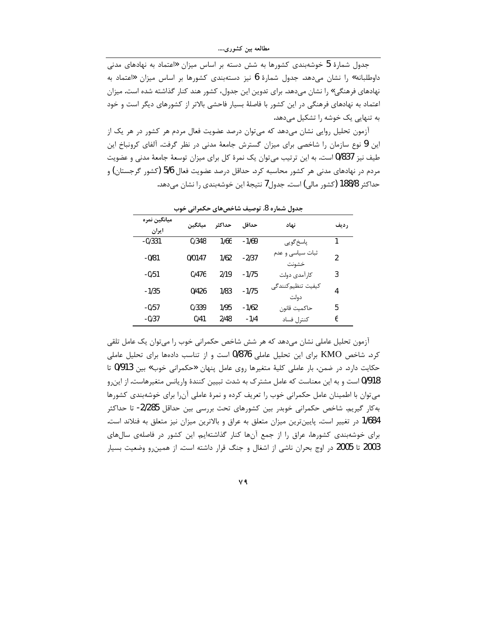جدول شمارهٔ 5 خوشهبندی کشورها به شش دسته بر اساس میزان «اعتماد به نهادهای مدنی داوطلبانه» را نشان میدهد. جدول شمارهٔ 6 نیز دستهبندی کشورها بر اساس میزان «اعتماد به نهادهای فرهنگی» را نشان میدهد. برای تدوین این جدول، کشور هند کنار گذاشته شده است. میزان اعتماد به نهادهای فرهنگی در این کشور با فاصلهٔ بسیار فاحشی بالاتر از کشورهای دیگر است و خود به تنهایی یک خوشه را تشکیل میدهد.

آزمون تحلیل روایی نشان میدهد که میتوان درصد عضویت فعال مردم هر کشور در هر یک از این 9 نوع سازمان را شاخصی برای میزان گسترش جامعهٔ مدنی در نظر گرفت. آلفای کرونباخ این طیف نیز 0/837 است. به این ترتیب می توان یک نمرهٔ کل برای میزان توسعهٔ جامعهٔ مدنی و عضویت مردم در نهادهای مدنی هر کشور محاسبه کرد. حداقل درصد عضویت فعال 5/6 (کشور گرجستان) و حداکثر 188/8 (کشور مالی) است. جدول7 نتیجهٔ این خوشهبندی را نشان میدهد.

| میانگین نمره<br>ايران | مىانگىن | حداكثر | حداقل   | نهاد                       | ر ديف         |
|-----------------------|---------|--------|---------|----------------------------|---------------|
| $-0/331$              | 0/348   | 1/66   | $-1/69$ | پاسخ گويې                  | 1             |
| $-0/81$               | 0/0147  | 1/62   | $-2/37$ | ثبات سیاسی و عدم<br>خشونت  | $\mathfrak z$ |
| $-0/51$               | 0/476   | 2/19   | $-1/75$ | كار آمدى دولت              | 3             |
| $-1/35$               | 0/426   | 1/83   | $-1/75$ | كيفيت تنظيم كنندگي<br>دولت | 4             |
| $-0/57$               | 0/339   | 1/95   | $-1/62$ | حاكميت قانون               | 5             |
| $-0/37$               | 0/41    | 2/48   | $-1/4$  | كنترل فساد                 | 6             |

جدول شماره 8. توصیف شاخصهای حکمرانی خوب

آزمون تحلیل عاملی نشان می دهد که هر شش شاخص حکمرانی خوب را می توان یک عامل تلقی کرد. شاخص KMO برای این تحلیل عاملی 0/876 است و از تناسب دادهها برای تحلیل عاملی حکایت دارد. در ضمن، بار عاملی کلیهٔ متغیرها روی عامل پنهان «حکمرانی خوب» بین 913/0 تا 0/918 است و به این معناست که عامل مشترک به شدت تبیین کنندهٔ واریانس متغیرهاست. از این و میتوان با اطمینان عامل حکمرانی خوب را تعریف کرده و نمرهٔ عاملی آنرا برای خوشهبندی کشورها به کار گیریم. شاخص حکمرانی خوبدر بین کشورهای تحت بررسی بین حداقل 2/285- تا حداکثر 1/684 در تغییر است. پایینترین میزان متعلق به عراق و بالاترین میزان نیز متعلق به فنلاند است. برای خوشهبندی کشورها، عراق را از جمع آنها کنار گذاشتهایم. این کشور در فاصلهی سالهای 2003 تا 2005 در اوج بحران ناشی از اشغال و جنگ قرار داشته است. از همینرو وضعیت بسیار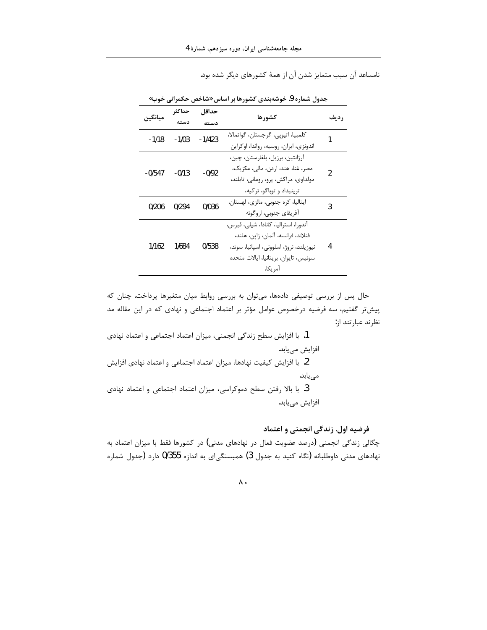نامساعد آن سبب متمایز شدن آن از همهٔ کشورهای دیگر شده بود.

| مىانگىن  | حداكثر  | حداقل    | كشورها                                  |             |
|----------|---------|----------|-----------------------------------------|-------------|
|          |         | دسته     |                                         | <b>رديف</b> |
| $-1/18$  | $-1/03$ | $-1/423$ | كلمبيا، اتيوپى، گرجستان، گواتمالا،      |             |
|          |         |          | اندونزي، ايران، روسيه، رواندا، اوكراين  |             |
|          |         |          | آرژانتين، برزيل، بلغارستان، چين،        |             |
| $-0/547$ | $-0/13$ | -0/92    | مصر، غنا، هند، اردن، مالی، مکزیک،       | 2           |
|          |         |          | مولداوي، مراكش، پرو، روماني، تايلند،    |             |
|          |         |          | ترینیداد و توباگو، ترکیه،               |             |
| 0/206    | 0/294   | 0/036    | ايتاليا، كره جنوبي، مالزي، لهستان،      | 3           |
|          |         |          | آفريقاي جنوبي، اروگوئه                  |             |
|          |         |          | آندورا، استراليا، كانادا، شيلي، قبرس،   |             |
|          |         |          | فنلاند، فرانسه، آلمان، ژاپن، هلند،      |             |
| 1/162    | 1/684   | 0/538    | نيوزيلند، نروژ، اسلووني، اسپانيا، سوئد، | 4           |
|          |         |          | سوئيس، تايوان، بريتانيا، ايالات متحده   |             |
|          |         |          | آمر یکا،                                |             |

جدول شماره 9. خوشهبندی کشورها بر اساس «شاخص حکمرانی خوب»

حال پس از بررسی توصیفی دادهها، میتوان به بررسی روابط میان متغیرها پرداخت. چنان که پیش تر گفتیم، سه فرضیه درخصوص عوامل مؤثر بر اعتماد اجتماعی و نهادی که در این مقاله مد نظرند عبارتند از:

1. با افزایش سطح زندگی انجمنی، میزان اعتماد اجتماعی و اعتماد نهادی افزايش مىيابد. 2. با افزایش کیفیت نهادها، میزان اعتماد اجتماعی و اعتماد نهادی افزایش مىيابد. 3. با بالا رفتن سطح دموكراسي، ميزان اعتماد اجتماعي و اعتماد نهادي افزايش مييابد.

## فرضیه اول. زندگی انجمنی و اعتماد

چگالی زندگی انجمنی (درصد عضویت فعال در نهادهای مدنی) در کشورها فقط با میزان اعتماد به نهادهای مدنی داوطلبانه (نگاه کنید به جدول 3) همبستگی|ی به اندازه 0/355 دارد (جدول شماره

 $\wedge$  .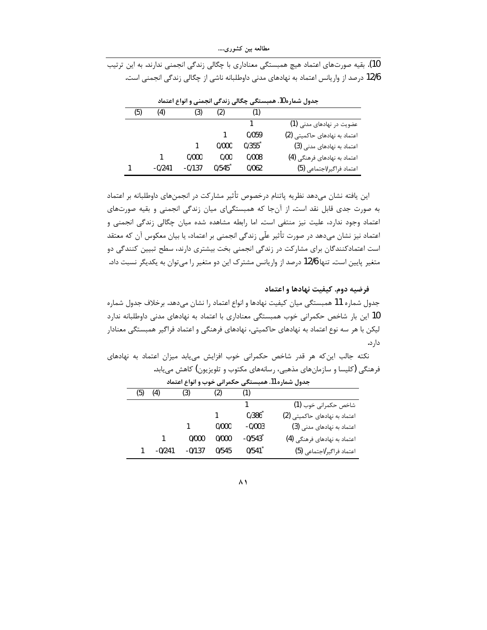10). بقیه صورتهای اعتماد هیچ همبستگی معناداری با چگالی زندگی انجمنی ندارند. به این ترتیب 12/6 درصد از واریانس اعتماد به نهادهای مدنی داوطلبانه ناشی از چگالی زندگی انجمنی است.

|     | جدول سمارہ ۱۵. همبستنجی چخانی زند کی انجمنی و انواع اعتماد |          |       |                      |                               |  |  |  |  |  |
|-----|------------------------------------------------------------|----------|-------|----------------------|-------------------------------|--|--|--|--|--|
| (5) | (4)                                                        | (3)      | (2)   |                      |                               |  |  |  |  |  |
|     |                                                            |          |       |                      | عضویت در نهادهای مدنی (1)     |  |  |  |  |  |
|     |                                                            |          |       | 0/0.59               | اعتماد به نهادهای حاکمیتی (2) |  |  |  |  |  |
|     |                                                            |          | 0/000 | $0/355$ <sup>*</sup> | اعتماد به نهادهای مدنی (3)    |  |  |  |  |  |
|     |                                                            | 0/000    | 0/00  | 0/008                | اعتماد به نهادهای فرهنگی (4)  |  |  |  |  |  |
|     | $-0/241$                                                   | $-0/137$ | 0/545 | 0/062                | اعتماد فراگیر /اجتماعی (5)    |  |  |  |  |  |

ودوارش والمدار والمسترجى وكالريزي وانتصرن وانداه امتعاد

این یافته نشان میدهد نظریه پاتنام درخصوص تأثیر مشارکت در انجمنهای داوطلبانه بر اعتماد به صورت جدی قابل نقد است. از آنجا که همبستگیای میان زندگی انجمنی و بقیه صورتهای اعتماد وجود ندارد، علیت نیز منتفی است. اما رابطه مشاهده شده میان چگالی زندگی انجمنی و اعتماد نیز نشان میدهد در صورت تأثیر علّی زندگی انجمنی بر اعتماد، یا بیان معکوس آن که معتقد است اعتمادکنندگان برای مشارکت در زندگی انجمنی بخت بیشتری دارند، سطح تبیین کنندگی دو متغیر پایین است. تنها 12/6 درصد از واریانس مشترک این دو متغیر را میتوان به یکدیگر نسبت داد.

فرضيه دوم. كيفيت نهادها و اعتماد

جدول شماره 11 همبستگی میان کیفیت نهادها و انواع اعتماد را نشان میدهد. برخلاف جدول شماره 10 این بار شاخص حکمرانی خوب همبستگی معناداری با اعتماد به نهادهای مدنی داوطلبانه ندارد لیکن با هر سه نوع اعتماد به نهادهای حاکمیتی، نهادهای فرهنگی و اعتماد فراگیر همبستگی معنادار دار د.

نکته جالب این که هر قدر شاخص حکمرانی خوب افزایش می یابد میزان اعتماد به نهادهای فرهنگی (کلیسا و سازمانهای مذهبی، رسانههای مکتوب و تلویزیون) کاهش مییابد.

| جدول شماره 11. همبستگی حکمرانی خوب و انواع اعتماد |          |          |       |                       |                               |  |  |  |
|---------------------------------------------------|----------|----------|-------|-----------------------|-------------------------------|--|--|--|
| (5)                                               | (4)      | (3)      | (2)   | (1)                   |                               |  |  |  |
|                                                   |          |          |       |                       | شاخص حکمرانی خوب (1)          |  |  |  |
|                                                   |          |          |       | 0/386                 | اعتماد به نهادهای حاکمیتی (2) |  |  |  |
|                                                   |          |          | 0/000 | $-0/003$              | اعتماد به نهادهای مدنی (3)    |  |  |  |
|                                                   |          | 0/000    | 0/000 | $-0/543$ <sup>*</sup> | اعتماد به نهادهای فرهنگی (4)  |  |  |  |
|                                                   | $-0/241$ | $-0/137$ | 0/545 | 0/541                 | اعتماد فراگير  اجتماعي (5)    |  |  |  |

 $\wedge$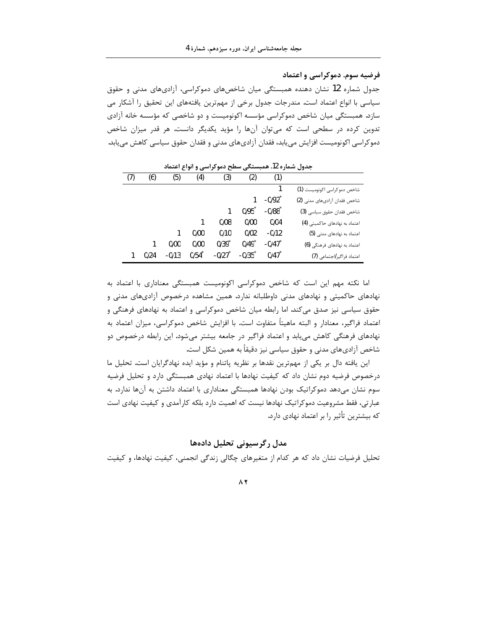فرضیه سوم. دموکراسی و اعتماد

جدول شماره 12 نشان دهنده همبستگی میان شاخصهای دموکراسی، آزادیهای مدنی و حقوق سیاسی با انواع اعتماد است. مندرجات جدول برخی از مهمترین یافتههای این تحقیق را آشکار می سازد. همبستگی میان شاخص دموکراسی مؤسسه اکونومیست و دو شاخصی که مؤسسه خانه آزادی تدوین کرده در سطحی است که میتوان آنها را مؤید یکدیگر دانست. هر قدر میزان شاخص دموكراسي اكونوميست افزايش ميءابد، فقدان آزاديهاي مدني و فقدان حقوق سياسي كاهش ميءابد.

|                               | (1)                                     | (2)                                    | (3)                 | (4)  | (5)     | (6)  | (7) |
|-------------------------------|-----------------------------------------|----------------------------------------|---------------------|------|---------|------|-----|
| شاخص دموكراسي اكونوميست (1)   |                                         |                                        |                     |      |         |      |     |
| شاخص فقدان آزادى هاى مدنى (2) | $-0/92$ <sup>*</sup>                    |                                        |                     |      |         |      |     |
| شاخص فقدان حقوق سياسي (3)     | $-0/88$ <sup><math>\degree</math></sup> | $0/95$ <sup><math>\degree</math></sup> |                     |      |         |      |     |
| اعتماد به نهادهای حاکمیتی (4) | 0/04                                    | 0/00                                   | 0/08                |      |         |      |     |
| اعتماد به نهادهای مدنی (5)    | $-0/12$                                 | 0/02                                   | 0/10                | 0/00 |         |      |     |
| اعتماد به نهادهای فرهنگی (6)  | $-0/47$                                 | $0/49$ <sup>*</sup>                    | $0/39$ <sup>*</sup> | 0/00 | 0/00    |      |     |
| اعتماد فراگیر لاجتماعی (7)    | 0/47                                    | $-0/35$ <sup>*</sup>                   | $-0/27$             | 0/54 | $-0/13$ | 0/24 |     |
|                               |                                         |                                        |                     |      |         |      |     |

جدول شماره 12. همبستگی سطح دموکراسی و انواع اعتماد

اما نکته مهم این است که شاخص دموکراسی اکونومیست همبستگی معناداری با اعتماد به نهادهای حاکمیتی و نهادهای مدنی داوطلبانه ندارد. همین مشاهده درخصوص آزادیهای مدنی و حقوق سیاسی نیز صدق می کند. اما رابطه میان شاخص دموکراسی و اعتماد به نهادهای فرهنگی و اعتماد فراگیر، معنادار و البته ماهیتاً متفاوت است. با افزایش شاخص دموکراسی، میزان اعتماد به نهادهای فرهنگی کاهش می بابد و اعتماد فراگیر در جامعه بیشتر میشود. این رابطه درخصوص دو شاخص آزادیهای مدنی و حقوق سیاسی نیز دقیقاً به همین شکل است.

این یافته دال بر یکی از مهمترین نقدها بر نظریه پاتنام و مؤید ایده نهادگرایان است. تحلیل ما درخصوص فرضیه دوم نشان داد که کیفیت نهادها با اعتماد نهادی همبستگی دارد و تحلیل فرضیه سوم نشان میدهد دموکراتیک بودن نهادها همبستگی معناداری با اعتماد داشتن به آنها ندارد. به عبارتی، فقط مشروعیت دموکراتیک نهادها نیست که اهمیت دارد بلکه کارآمدی و کیفیت نهادی است که بیشترین تأثیر را بر اعتماد نهادی دارد.

## مدل رگرسیونی تحلیل دادهها

تحلیل فرضیات نشان داد که هر کدام از متغیرهای چگالی زندگی انجمنی، کیفیت نهادها، و کیفیت

 $\wedge$   $\vee$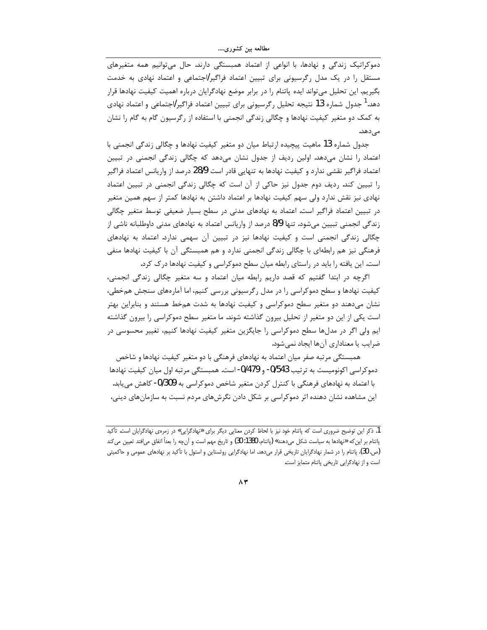دموکراتیک زندگی و نهادها، با انواعی از اعتماد همبستگی دارند. حال می توانیم همه متغیرهای مستقل را در یک مدل رگرسیونی برای تبیین اعتماد فراگیر اجتماعی و اعتماد نهادی به خدمت بگیریم. این تحلیل میتواند ایده پاتنام را در برابر موضع نهادگرایان درباره اهمیت کیفیت نهادها قرار دهد.<sup>1</sup> جدول شماره 13 نتیجه تحلیل رگرسیونی برای تبیین اعتماد فراگیر/اجتماعی و اعتماد نهادی به کمک دو متغیر کیفیت نهادها و چگالی زندگی انجمنی با استفاده از رگرسیون گام به گام را نشان مے ٖدھد.

جدول شماره 13 ماهيت پيچيده ارتباط ميان دو متغير كيفيت نهادها و چگالي زندگي انجمني با اعتماد را نشان میدهد. اولین ردیف از جدول نشان میدهد که چگالی زندگی انجمنی در تبیین اعتماد فراگیر نقشی ندارد و کیفیت نهادها به تنهایی قادر است 28/9 درصد از واریانس اعتماد فراگیر را تبیین کند. ردیف دوم جدول نیز حاکی از آن است که چگالی زندگی انجمنی در تبیین اعتماد نهادی نیز نقش ندارد ولی سهم کیفیت نهادها بر اعتماد داشتن به نهادها کمتر از سهم همین متغیر در تبیین اعتماد فراگیر است. اعتماد به نهادهای مدنی در سطح بسیار ضعیفی توسط متغیر چگالی زندگی انجمنی تبیین میشود. تنها 8/9 درصد از واریانس اعتماد به نهادهای مدنی داوطلبانه ناشی از چگالی زندگی انجمنی است و کیفیت نهادها نیز در تبیین اّن سهمی ندارد. اعتماد به نهادهای فرهنگی نیز هم رابطهای با چگالی زندگی انجمنی ندارد و هم همبستگی آن با کیفیت نهادها منفی است. این یافته را باید در راستای رابطه میان سطح دموکراسی و کیفیت نهادها درک کرد.

اگرچه در ابتدا گفتیم که قصد داریم رابطه میان اعتماد و سه متغیر چگالی زندگی انجمنی، کیفیت نهادها و سطح دموکراسی را در مدل رگرسیونی بررسی کنیم، اما آمارههای سنجش همخطی، نشان میدهند دو متغیر سطح دموکراسی و کیفیت نهادها به شدت همخط هستند و بنابراین بهتر است یکی از این دو متغیر از تحلیل بیرون گذاشته شوند. ما متغیر سطح دموکراسی را بیرون گذاشته ایم ولی اگر در مدلها سطح دموکراسی را جایگزین متغیر کیفیت نهادها کنیم، تغییر محسوسی در ضرايب يا معناداري آنها ايجاد نمي شود.

همبستگی مرتبه صفر میان اعتماد به نهادهای فرهنگی با دو متغیر کیفیت نهادها و شاخص دموکراسی اکونومیست به ترتیب 0/543- و 0/479- است. همبستگی مرتبه اول میان کیفیت نهادها با اعتماد به نهادهای فرهنگی با کنترل کردن متغیر شاخص دموکراسی به 0/309- کاهش می یابد. این مشاهده نشان دهنده اثر دموکراسی بر شکل دادن نگرشهای مردم نسبت به سازمانهای دینی،

<sup>1.</sup> ذكر اين توضيح ضروري است كه پاتنام خود نيز با لحاظ كردن معنايي ديگر براي «نهادگرايي» در زمرهي نهادگرايان است. تأكيد پاتنام بر این که «نهادها به سیاست شکل میدهند» (پاتنام، 1380: 30) و تاریخ مهم است و آنچه را بعداً اتفاق میافتد تعیین می کند (ص. 30)، پاتنام را در شمار نهادگرایان تاریخی قرار میدهد. اما نهادگرایی روشتاین و استول با تأکید بر نهادهای عمومی و حاکمیتی است و از نهادگرایی تاریخی پاتنام متمایز است.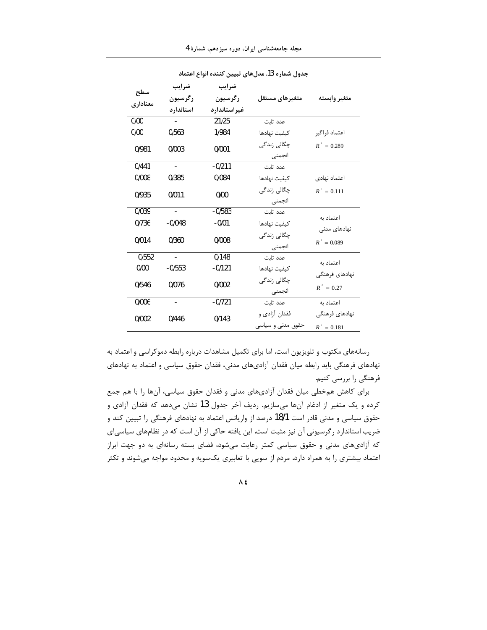| جدول شماره 13. مدلهای تبیین کننده انواع اعتماد |                          |              |                       |                |  |  |
|------------------------------------------------|--------------------------|--------------|-----------------------|----------------|--|--|
|                                                | ضرايب                    | ضرايب        |                       |                |  |  |
| سطح                                            | رگرسيون                  | رگرسیون      | متغيرهاى مستقل        | متغير وابسته   |  |  |
| معناداري                                       | استاندارد                | غيراستاندارد |                       |                |  |  |
| 0/00                                           |                          | 21/25        | عدد ثات               |                |  |  |
| 0/00                                           | 0/563                    | 1/984        | كيفيت نهادها          | اعتماد فراگير  |  |  |
| 0/981                                          | 0/003                    | 0/001        | چگالی زندگی<br>انجمنى | $R^2 = 0.289$  |  |  |
| 0/441                                          |                          | $-0/211$     | عدد ثابت              |                |  |  |
| 0/008                                          | 0/385                    | 0/084        | كيفيت نهادها          | اعتماد نهادى   |  |  |
| 0/935                                          | 0/011                    | 0/00         | چگالی زندگی<br>انجمنى | $R^2 = 0.111$  |  |  |
| 0/039                                          | -                        | $-0/583$     | عدد ثات               |                |  |  |
| 0/736                                          | $-0/048$                 | $-0/01$      | كيفيت نهادها          | اعتماد به      |  |  |
| 0/014                                          | 0/360                    | 0/008        | چگالی زندگی           | نهادهای مدنی   |  |  |
|                                                |                          |              | انجمنى                | $R^2 = 0.089$  |  |  |
| 0/552                                          | $\overline{\phantom{a}}$ | 0/148        | عدد ثابت              | اعتماد به      |  |  |
| 0/00                                           | $-0/553$                 | $-0/121$     | كيفيت نهادها          | نهادهای فرهنگی |  |  |
| 0/546                                          | 0/076                    | 0/002        | چگالی زندگی           |                |  |  |
|                                                |                          |              | انجمنى                | $R^2 = 0.27$   |  |  |
| 0/006                                          |                          | $-0/721$     | عدد ثات               | اعتماد به      |  |  |
| 0/002                                          | 0/446                    | 0/143        | فقدان آزادي و         | نهادهای فرهنگی |  |  |
|                                                |                          |              | حقوق مدنی و سیاسی     | $R^2 = 0.181$  |  |  |

مجله جامعهشناسی ایران، دوره سیزدهم، شمارهٔ 4

رسانههای مکتوب و تلویزیون است. اما برای تکمیل مشاهدات درباره رابطه دموکراسی و اعتماد به نهادهای فرهنگی باید رابطه میان فقدان آزادیهای مدنی، فقدان حقوق سیاسی و اعتماد به نهادهای فرهنگی را بررسی کنیم.

برای کاهش همخطی میان فقدان آزادیهای مدنی و فقدان حقوق سیاسی، آنها را با هم جمع کرده و یک متغیر از ادغام آنها میسازیم. ردیف آخر جدول 13 نشان میدهد که فقدان آزادی و حقوق سیاسی و مدنی قادر است 18/1 درصد از واریانس اعتماد به نهادهای فرهنگی را تبیین کند و ضریب استاندارد رگرسیونی آن نیز مثبت است. این یافته حاکی از آن است که در نظامهای سیاسی|ی که آزادیهای مدنی و حقوق سیاسی کمتر رعایت میشود، فضای بسته رسانهای به دو جهت ابراز اعتماد بیشتری را به همراه دارد. مردم از سویی با تعابیری یکسویه و محدود مواجه میشوند و تکثر

 $\Lambda$   $\pmb{\xi}$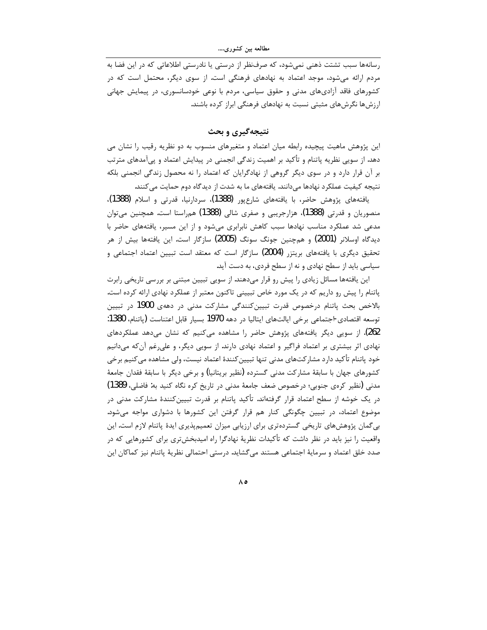رسانهها سبب تشتت ذهنی نمی شود، که صرف نظر از درستی یا نادرستی اطلاعاتی که در این فضا به مردم ارائه میشود، موجد اعتماد به نهادهای فرهنگی است. از سوی دیگر، محتمل است که در کشورهای فاقد آزادیهای مدنی و حقوق سیاسی، مردم با نوعی خودسانسوری، در پیمایش جهانی ارزشها نگرشهای مثبتی نسبت به نهادهای فرهنگی ابراز کرده باشند.

نتيجه گيري و بحث

این پژوهش ماهیت پیچیده رابطه میان اعتماد و متغیرهای منسوب به دو نظریه رقیب را نشان می دهد. از سویی نظریه پاتنام و تأکید بر اهمیت زندگی انجمنی در پیدایش اعتماد و پیآمدهای مترتب بر آن قرار دارد و در سوی دیگر گروهی از نهادگرایان که اعتماد را نه محصول زندگی انجمنی بلکه نتیجه کیفیت عملکرد نهادها میدانند. یافتههای ما به شدت از دیدگاه دوم حمایت می کنند.

يافتەهاي پژوهش حاضر، با يافتەهاي شارعپور (1388)، سردارنيا، قدرتي و اسلام (1388)، منصوریان و قدرتی (1388)، هزارجریبی و صفری شالی (1388) همراستا است. همچنین می¤وان مدعی شد عملکرد مناسب نهادها سبب کاهش نابرابری میشود و از این مسیر، یافتههای حاضر با دیدگاه اوسلانر (2001) و همچنین جونگ سونگ (2005) سازگار است. این یافتهها بیش از هر تحقیق دیگری با یافتههای بریتزر (2004) سازگار است که معتقد است تبیین اعتماد اجتماعی و سیاسی باید از سطح نهادی و نه از سطح فردی، به دست آید.

این یافتهها مسائل زیادی را پیش رو قرار میدهند. از سویی تبیین مبتنی بر بررسی تاریخی رابرت پاتنام را پیش رو داریم که در یک مورد خاص تبیینی تاکنون معتبر از عملکرد نهادی ارائه کرده است. بالاخص بحث پاتنام درخصوص قدرت تبیینکنندگی مشارکت مدنی در دههی 1900 در تبیین توسعه اقتصادى اجتماعى برخى ايالتهاى ايتاليا در دهه 1970 بسيار قابل اعتناست (ياتنام، 1380: 262). از سویی دیگر یافتههای پژوهش حاضر را مشاهده می کنیم که نشان می دهد عملکردهای نهادی اثر بیشتری بر اعتماد فراگیر و اعتماد نهادی دارند. از سویی دیگر، و علیرغم آنکه میدانیم خود پاتنام تأکید دارد مشارکتهای مدنی تنها تبیین کنندهٔ اعتماد نیست، ولی مشاهده می کنیم برخی کشورهای جهان با سابقهٔ مشارکت مدنی گسترده (نظیر بریتانیا) و برخی دیگر با سابقهٔ فقدان جامعهٔ مدنی (نظیر کرەی جنوبی؛ درخصوص ضعف جامعهٔ مدنی در تاریخ کره نگاه کنید به: فاضلی، 1389) در یک خوشه از سطح اعتماد قرار گرفتهاند. تأکید پاتنام بر قدرت تبیینکنندهٔ مشارکت مدنی در موضوع اعتماد، در تبیین چگونگی کنار هم قرار گرفتن این کشورها با دشواری مواجه میشود. بی گمان پژوهشهای تاریخی گستردهتری برای ارزیابی میزان تعمیمپذیری ایدهٔ پاتنام لازم است. این واقعیت را نیز باید در نظر داشت که تأکیدات نظریهٔ نهادگرا راه امیدبخشتری برای کشورهایی که در صدد خلق اعتماد و سرمايهٔ اجتماعي هستند مي گشايد. درستي احتمالي نظريهٔ پاتنام نيز كماكان اين

ه ۸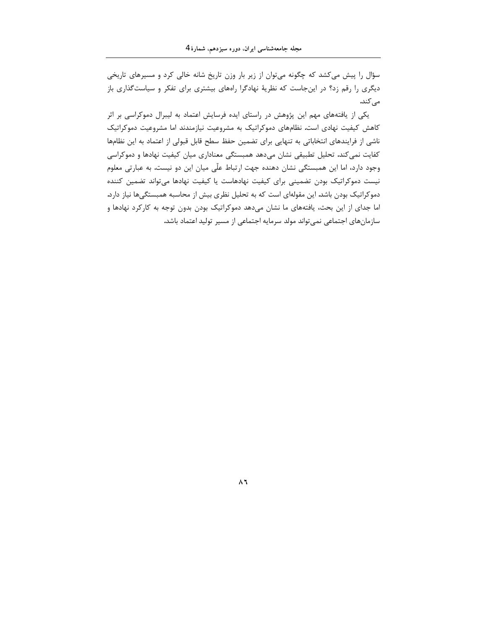سؤال را پیش میکشد که چگونه میتوان از زیر بار وزن تاریخ شانه خالی کرد و مسیرهای تاریخی دیگری را رقم زد؟ در اینجاست که نظریهٔ نهادگرا راههای بیشتری برای تفکر و سیاستگذاری باز مے کند.

یکی از یافتههای مهم این پژوهش در راستای ایده فرسایش اعتماد به لیبرال دموکراسی بر اثر کاهش کیفیت نهادی است. نظامهای دموکراتیک به مشروعیت نیازمندند اما مشروعیت دموکراتیک ناشی از فرایندهای انتخاباتی به تنهایی برای تضمین حفظ سطح قابل قبولی از اعتماد به این نظامها کفایت نمیکند. تحلیل تطبیقی نشان میدهد همبستگی معناداری میان کیفیت نهادها و دموکراسی وجود دارد، اما این همبستگی نشان دهنده جهت ارتباط علّی میان این دو نیست. به عبارتی معلوم نیست دموکراتیک بودن تضمینی برای کیفیت نهادهاست یا کیفیت نهادها میتواند تضمین کننده دموکراتیک بودن باشد. این مقولهای است که به تحلیل نظری بیش از محاسبه همبستگیها نیاز دارد. اما جدای از این بحث، یافتههای ما نشان میدهد دموکراتیک بودن بدون توجه به کارکرد نهادها و سازمانهای اجتماعی نمیتواند مولد سرمایه اجتماعی از مسیر تولید اعتماد باشد.

ለ ኒ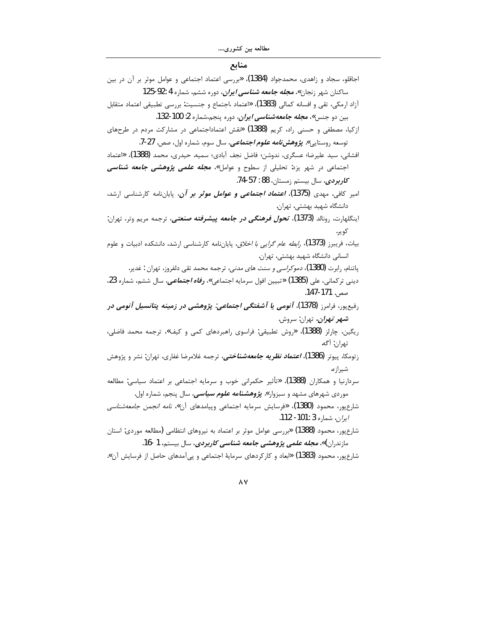## منابع

| اجاقلو، سجاد و زاهدی، محمدجواد (1384)، «بررسی اعتماد اجتماعی و عوامل موثر بر آن در بین                |
|-------------------------------------------------------------------------------------------------------|
| ساکنان شهر زنجان»، <i>مجله جامعه شناسی ایران</i> ، دوره ششم، شماره 4 :92-125                          |
| آزاد ارمکی، تقی و افسانه کمالی (1383)، «اعتماد ،اجتماع و جنسیت: بررسی تطبیقی اعتماد متقابل            |
| بين دو جنس»، <i>مجله جامعهشناسي ايران</i> ، دوره پنجم،شماره 2: 100-132.                               |
| ازکیا، مصطفی و حسنی راد، کریم (1388) «نقش اعتماداجتماعی در مشارکت مردم در طرحهای                      |
| توسعه روستايي». <i>پژ<b>وهشنامه علوم اجتماعي</b></i> ، سال سوم، شماره اول، صص. 27-7.                  |
| افشانی، سید علیرضا؛ عسگری، ندوشن؛ فاضل نجف آبادی؛ سمیه. حیدری، محمد (1388 <b>)</b> ، «اعتماد          |
| اجتماعی در شهر یزد: تحلیلی از سطوح و عوامل»، <i>مجله علمی پژوهشی جامعه شناسی</i>                      |
| <i>كاربردي</i> ، سال بيستم زمستان، 88 : 57-74.                                                        |
| امیر کافی، مهدی <b>(1375)<i>. اعتماد اجتماعی و عوامل موثر بر آ</i>ن</b> ، پایاننامه کارشناسی ارشد،    |
| دانشگاه شهید بهشتی، تهران.                                                                            |
| اینگلهارت. رونالد <b>(1373). <i>تحول فرهنگی در جامعه پیشرفته صنعتی</i>.</b> ترجمه مریم وتر. تهران:    |
| کوير.                                                                                                 |
| بیات، فریبرز (1373)، <i>رابطه عام گرایی با اخلاق</i> ، پایاننامه کارشناسی ارشد، دانشکده ادبیات و علوم |
| انسانی دانشگاه شهید بهشتی، تهران.                                                                     |
| پاتنام، رابرت <b>(1380)،</b> <i>دموکراسی و سنت های مدنی،</i> ترجمه محمد تقی دلفروز، تهران : غدیر.     |
| دینی ترکمانی، علی (1385) «تبیین افول سرمایه اجتماعی»، <b>ر<i>فاه اجتماعی،</i></b> سال ششم، شماره 23،  |
| صص. 171-147.                                                                                          |
| رفیعپور، فرامرز (1378)، <i>آنومی یا آشفتگی اجتماعی: پژوهشی در زمینه پتانسیل آنومی در</i>              |
| <b>شهر تهران،</b> تهران: سروش.                                                                        |
| ریگین، چارلز (1388)، «روش تطبیقی: فراسوی راهبردهای کمی و کیف»، ترجمه محمد فاضلی،                      |
| تهران: آگه.                                                                                           |
| زتومکا، پیوتر (1386)، <i>اعتماد نظریه جامعهشناختی</i> ، ترجمه غلامرضا غفاری، تهران: نشر و پژوهش       |
| شيرازه.                                                                                               |
| سردارنیا و همکاران <b>(1388). «</b> تأثیر حکمرانی خوب و سرمایه اجتماعی بر اعتماد سیاسی: مطالعه        |
| موردی شهرهای مشهد و سبزوار». <b><i>پژوهشنامه علوم سیاسی،</i></b> سال پنجم، شماره اول.                 |
| شارعپور، محمود (1380)، «فرسایش سرمایه اجتماعی وپیامدهای آن»، <i>نامه انجمن جامعهشناسی</i>             |
| /ير <i>ان</i> ، شماره 3 :101- 112.                                                                    |
| شارعپور، محمود (1388) «بررسی عوامل موثر بر اعتماد به نیروهای انتظامی (مطالعه موردی: استان             |
| مازندران)»، <i>مجله علمی پژوهشی جامعه شناسی کاربردی</i> ، سال بیستم، 1 -16.                           |
| شارعپور، محمود <b>(1383) «</b> ابعاد و کارکردهای سرمایهٔ اجتماعی و پیآمدهای حاصل از فرسایش آن».       |

 $\mathsf{A}\mathsf{V}$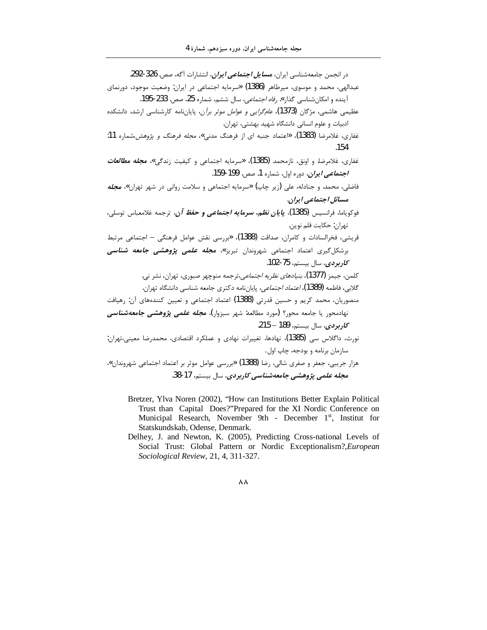| در انجمن جامعهشناسی ایران، <i>مسایل اجتماعی ایران،</i> انتشارات آگه، صص. 326-292.                           |
|-------------------------------------------------------------------------------------------------------------|
| عبدالهی، محمد و موسوی، میرطاهر (1386) «سرمایه اجتماعی در ایران: وضعیت موجود، دورنمای                        |
| آینده و امکانشناسی گذار» <i>. رفاه اجتماعی</i> ، سال ششم، شماره 25، صص. 233-195.                            |
| عظیمی هاشمی، مژگان (1373) <i>. عام<sup>ع</sup>رایی و عوامل موثر برآن</i> ، پایاننامه کارشناسی ارشد. دانشکده |
| ادبیات و علوم انسانی دانشگاه شهید بهشتی، تهران.                                                             |
| غفاری، غلامرضا (1383). «اعتماد جنبه ای از فرهنگ مدنی»، <i>مجله فرهنگ و پژوهش</i> ،شماره 11:                 |
| .154                                                                                                        |
| غفاری، غلامرضا. و اونق، نازمحمد (1385)، «سرمایه اجتماعی و کیفیت زندگی»، <i>مجله مطالعات</i>                 |
| <i>اجتماعی ایران</i> ، دوره اول، شماره 1. صص. 199-159.                                                      |
| فاضلی، محمد. و جنادله، علی (زیر چاپ) «سرمایه اجتماعی و سلامت روانی در شهر تهران»، <b>م<i>جله</i></b>        |
| مسائل اجتماعی ایران.                                                                                        |
| فوكوياما، فرانسيس (1385)، <i>پ<b>ايان نظم، سرمايه اجتماعي و حفظ آن،</b></i> ترجمه غلامعباس توسلي،           |
| تهران: حكايت قلم نوين.                                                                                      |
| قریشی، فخرالسادات و کامران، صداقت (1388)، «بررسی نقش عوامل فرهنگی – اجتماعی مرتبط                           |
| برشکل <i>گ</i> یری اعتماد اجتماعی شهروندان تبریز»، <b>م<i>جله علمی پژوهشی جامعه شناسی</i></b>               |
| <i>كاربردى</i> ، سال بيستم، 75-102.                                                                         |
| كلمن، جيمز  (1377)، <i>بنيادهاي نظريه اجتماعي</i> ،ترجمه منوچهر صبوري، تهران، نشر ني.                       |
| گلابی، فاطمه (1389)، <i>اعتماد اجتماعی</i> ، پایاننامه دکتری جامعه شناسی دانشگاه تهران.                     |
| منصوریان، محمد کریم و حسین قدرتی (1388) اعتماد اجتماعی و تعیین کنندههای آن: رهیافت                          |
| نهادمحور یا جامعه محور؟ (مورد مطالعه: شهر سبزوار) <b>، <i>مجله علمی پژوهشی جامعهشناسی</i></b>               |
| <i>كاربردى</i> ، سال بيستم، 189 – 215.                                                                      |
| نورث، داگلاس سی (1385)، نهادها، تغییرات نهادی و عملکرد اقتصادی، محمدرضا معینی،تهران:                        |
| سازمان برنامه و بودجه، چاپ اول .                                                                            |
| هزار جریبی، جعفر و صفری شالی، رضا (1388) «بررسی عوامل موثر بر اعتماد اجتماعی شهروندان»،                     |
| م <i>جله علمی پژوهشی جامعهشناسی کاربردی</i> ، سال بیستم، 17-38.                                             |

- Bretzer, Ylva Noren (2002), "How can Institutions Better Explain Political Trust than Capital Does?"Prepared for the XI Nordic Conference on Municipal Research, November 9th - December 1st, Institut for Statskundskab, Odense, Denmark.
- Delhey, J. and Newton, K. (2005), Predicting Cross-national Levels of Social Trust: Global Pattern or Nordic Exceptionalism?, European Sociological Review, 21, 4, 311-327.

#### $\boldsymbol{\wedge}\,\boldsymbol{\wedge}$